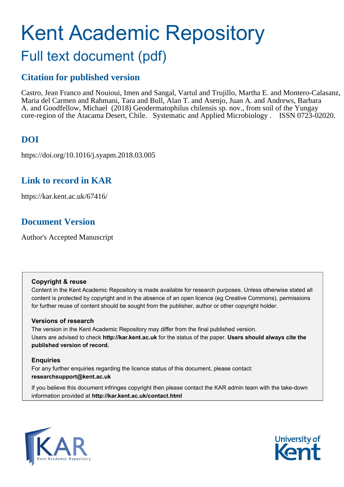# Kent Academic Repository Full text document (pdf)

## **Citation for published version**

Castro, Jean Franco and Nouioui, Imen and Sangal, Vartul and Trujillo, Martha E. and Montero-Calasanz, Maria del Carmen and Rahmani, Tara and Bull, Alan T. and Asenjo, Juan A. and Andrews, Barbara A. and Goodfellow, Michael (2018) Geodermatophilus chilensis sp. nov., from soil of the Yungay core-region of the Atacama Desert, Chile. Systematic and Applied Microbiology . ISSN 0723-02020.

## **DOI**

https://doi.org/10.1016/j.syapm.2018.03.005

## **Link to record in KAR**

https://kar.kent.ac.uk/67416/

## **Document Version**

Author's Accepted Manuscript

### **Copyright & reuse**

Content in the Kent Academic Repository is made available for research purposes. Unless otherwise stated all content is protected by copyright and in the absence of an open licence (eg Creative Commons), permissions for further reuse of content should be sought from the publisher, author or other copyright holder.

### **Versions of research**

The version in the Kent Academic Repository may differ from the final published version. Users are advised to check **http://kar.kent.ac.uk** for the status of the paper. **Users should always cite the published version of record.**

### **Enquiries**

For any further enquiries regarding the licence status of this document, please contact: **researchsupport@kent.ac.uk**

If you believe this document infringes copyright then please contact the KAR admin team with the take-down information provided at **http://kar.kent.ac.uk/contact.html**



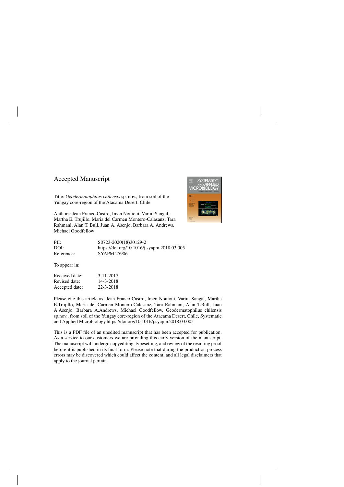## Accepted Manuscript

Title: *Geodermatophilus chilensis* sp. nov., from soil of the Yungay core-region of the Atacama Desert, Chile

Authors: Jean Franco Castro, Imen Nouioui, Vartul Sangal, Martha E. Trujillo, Maria del Carmen Montero-Calasanz, Tara Rahmani, Alan T. Bull, Juan A. Asenjo, Barbara A. Andrews, Michael Goodfellow

PII: S0723-2020(18)30129-2 DOI:<https://doi.org/10.1016/j.syapm.2018.03.005> Reference: SYAPM 25906

To appear in:

Received date: 3-11-2017 Revised date: 14-3-2018 Accepted date: 22-3-2018

Please cite this article as: Jean Franco Castro, Imen Nouioui, Vartul Sangal, Martha E.Trujillo, Maria del Carmen Montero-Calasanz, Tara Rahmani, Alan T.Bull, Juan A.Asenjo, Barbara A.Andrews, Michael Goodfellow, Geodermatophilus chilensis sp.nov., from soil of the Yungay core-region of the Atacama Desert, Chile, Systematic and Applied Microbiology<https://doi.org/10.1016/j.syapm.2018.03.005>

This is a PDF file of an unedited manuscript that has been accepted for publication. As a service to our customers we are providing this early version of the manuscript. The manuscript will undergo copyediting, typesetting, and review of the resulting proof before it is published in its final form. Please note that during the production process errors may be discovered which could affect the content, and all legal disclaimers that apply to the journal pertain.

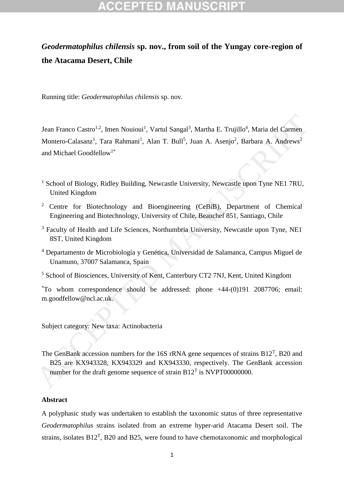## *Geodermatophilus chilensis* **sp. nov., from soil of the Yungay core-region of the Atacama Desert, Chile**

Running title: *Geodermatophilus chilensis* sp. nov.

Jean Franco Castro<sup>1,2</sup>, Imen Nouioui<sup>1</sup>, Vartul Sangal<sup>3</sup>, Martha E. Trujillo<sup>4</sup>, Maria del Carmen Montero-Calasanz<sup>1</sup>, Tara Rahmani<sup>1</sup>, Alan T. Bull<sup>5</sup>, Juan A. Asenjo<sup>2</sup>, Barbara A. Andrews<sup>2</sup> and Michael Goodfellow1\* Jean Franco Castro<sup>1,2</sup>, Imen Nouioui<sup>1</sup>, Vartul Sangal<sup>3</sup>, Martha E. Trujillo<sup>4</sup>, Maria del Carmen<br>Montero-Calasanz<sup>1</sup>, Tara Rahmani<sup>1</sup>, Alan T. Bull<sup>3</sup>, Juan A. Asenjo<sup>2</sup>, Barbara A. Andrews<sup>2</sup><br>and Michael Goodfellow<sup>17</sup>

- <sup>1</sup> School of Biology, Ridley Building, Newcastle University, Newcastle upon Tyne NE1 7RU, United Kingdom
- <sup>2</sup> Centre for Biotechnology and Bioengineering (CeBiB), Department of Chemical Engineering and Biotechnology, University of Chile, Beauchef 851, Santiago, Chile
- <sup>3</sup> Faculty of Health and Life Sciences, Northumbria University, Newcastle upon Tyne, NE1 8ST, United Kingdom
- <sup>4</sup> Departamento de Microbiología y Genética, Universidad de Salamanca, Campus Miguel de Unamuno, 37007 Salamanca, Spain
- <sup>5</sup> School of Biosciences, University of Kent, Canterbury CT2 7NJ, Kent, United Kingdom

\*To whom correspondence should be addressed: phone +44-(0)191 2087706; email: m.goodfellow@ncl.ac.uk.

Subject category: New taxa: Actinobacteria

The GenBank accession numbers for the 16S rRNA gene sequences of strains  $B12^T$ , B20 and B25 are KX943328, KX943329 and KX943330, respectively. The GenBank accession number for the draft genome sequence of strain  $B12^T$  is NVPT00000000.

#### **Abstract**

A polyphasic study was undertaken to establish the taxonomic status of three representative *Geodermatophilus* strains isolated from an extreme hyper-arid Atacama Desert soil. The strains, isolates  $B12^T$ , B20 and B25, were found to have chemotaxonomic and morphological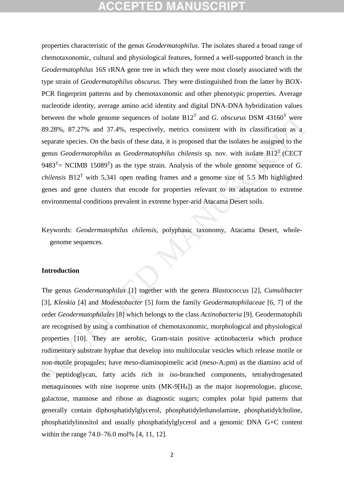## :GEPTED M

properties characteristic of the genus *Geodermatophilus*. The isolates shared a broad range of chemotaxonomic, cultural and physiological features, formed a well-supported branch in the *Geodermatophilus* 16S rRNA gene tree in which they were most closely associated with the type strain of *Geodermatophilus obscurus.* They were distinguished from the latter by BOX-PCR fingerprint patterns and by chemotaxonomic and other phenotypic properties. Average nucleotide identity, average amino acid identity and digital DNA-DNA hybridization values between the whole genome sequences of isolate  $B12<sup>T</sup>$  and *G. obscurus* DSM 43160<sup>T</sup> were 89.28%, 87.27% and 37.4%, respectively, metrics consistent with its classification as a separate species. On the basis of these data, it is proposed that the isolates be assigned to the genus *Geodermatophilus* as *Geodermatophilus chilensis* sp. nov. with isolate B12<sup>T</sup>(CECT  $9483^{\text{T}}$  = NCIMB 15089<sup>T</sup>) as the type strain. Analysis of the whole genome sequence of *G*. *chilensis* B12<sup>T</sup> with 5,341 open reading frames and a genome size of 5.5 Mb highlighted genes and gene clusters that encode for properties relevant to its adaptation to extreme environmental conditions prevalent in extreme hyper-arid Atacama Desert soils.

Keywords: *Geodermatophilus chilensis,* polyphasic taxonomy, Atacama Desert, wholegenome sequences.

#### **Introduction**

The genus *Geodermatophilus* [1] together with the genera *Blastococcus* [2], *Cumulibacter* [3], *Klenkia* [4] and *Modestobacter* [5] form the family *Geodermatophilaceae* [6, 7] of the order *Geodermatophilales* [8] which belongs to the class *Actinobacteria* [9]. Geodermatophili are recognised by using a combination of chemotaxonomic, morphological and physiological properties [10]. They are aerobic, Gram-stain positive actinobacteria which produce rudimentary substrate hyphae that develop into multilocular vesicles which release motile or non-motile propagules; have *meso*-diaminopimelic acid (*meso*-A2pm) as the diamino acid of the peptidoglycan, fatty acids rich in *iso*-branched components, tetrahydrogenated menaquinones with nine isoprene units (MK-9[H4]) as the major isoprenologue, glucose, galactose, mannose and ribose as diagnostic sugars; complex polar lipid patterns that generally contain diphosphatidylglycerol, phosphatidylethanolamine, phosphatidylcholine, phosphatidylinositol and usually phosphatidylglycerol and a genomic DNA G+C content within the range 74.0–76.0 mol% [4, 11, 12]. between the whole genome sequences of isolate B12<sup>T</sup> and *G. obscuras* DSM 43160<sup>T</sup> were<br>
89.28%, 87.27% and 37.4%, respectively, metrics consistent with its classification as a<br>
sequencal species Con the basis of these d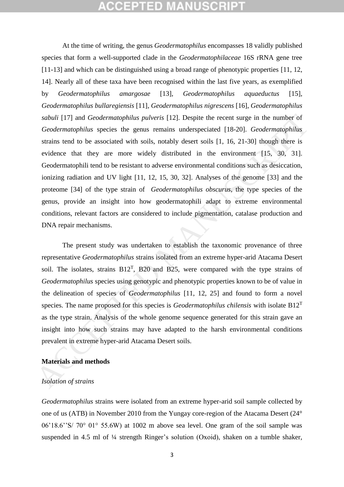## CCEPTED MANUSCR

At the time of writing, the genus *Geodermatophilus* encompasses 18 validly published species that form a well-supported clade in the *Geodermatophilaceae* 16S rRNA gene tree [11-13] and which can be distinguished using a broad range of phenotypic properties [11, 12, 14]. Nearly all of these taxa have been recognised within the last five years, as exemplified by *Geodermatophilus amargosae* [13], *Geodermatophilus aquaeductus* [15], *Geodermatophilus bullaregiensis* [11], *Geodermatophilus nigrescens* [16], *Geodermatophilus sabuli* [17] and *Geodermatophilus pulveris* [12]. Despite the recent surge in the number of *Geodermatophilus* species the genus remains underspeciated [18-20]. *Geodermatophilus* strains tend to be associated with soils, notably desert soils [1, 16, 21-30] though there is evidence that they are more widely distributed in the environment [15, 30, 31]. Geodermatophili tend to be resistant to adverse environmental conditions such as desiccation, ionizing radiation and UV light [11, 12, 15, 30, 32]. Analyses of the genome [33] and the proteome [34] of the type strain of *Geodermatophilus obscurus*, the type species of the genus, provide an insight into how geodermatophili adapt to extreme environmental conditions, relevant factors are considered to include pigmentation, catalase production and DNA repair mechanisms. sabuli [17] and *Geodermatophilus* pulveris [12]. Despite the recent sarge in the number of *Geodermatophilus* species the genus remains underspeciated [18-20]. *Geodermatophilus* systims lend to be associated with soits,

The present study was undertaken to establish the taxonomic provenance of three representative *Geodermatophilus* strains isolated from an extreme hyper-arid Atacama Desert soil. The isolates, strains  $B12^T$ ,  $B20$  and  $B25$ , were compared with the type strains of *Geodermatophilus* species using genotypic and phenotypic properties known to be of value in the delineation of species of *Geodermatophilus* [11, 12, 25] and found to form a novel species. The name proposed for this species is *Geodermatophilus chilensis* with isolate B12<sup>T</sup> as the type strain. Analysis of the whole genome sequence generated for this strain gave an insight into how such strains may have adapted to the harsh environmental conditions prevalent in extreme hyper-arid Atacama Desert soils.

#### **Materials and methods**

#### *Isolation of strains*

*Geodermatophilus* strains were isolated from an extreme hyper-arid soil sample collected by one of us (ATB) in November 2010 from the Yungay core-region of the Atacama Desert (24° 06'18.6''S/ 70° 01° 55.6W) at 1002 m above sea level. One gram of the soil sample was suspended in 4.5 ml of ¼ strength Ringer's solution (Oxoid), shaken on a tumble shaker,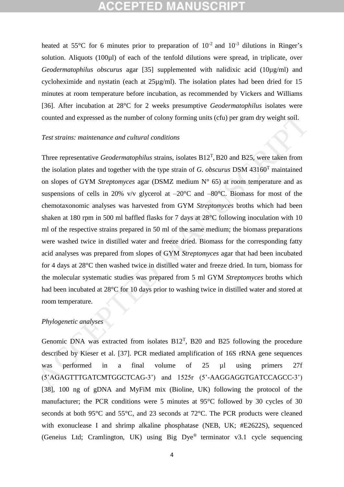heated at 55 $\degree$ C for 6 minutes prior to preparation of  $10^{-2}$  and  $10^{-3}$  dilutions in Ringer's solution. Aliquots (100µl) of each of the tenfold dilutions were spread, in triplicate, over *Geodermatophilus obscurus* agar [35] supplemented with nalidixic acid (10µg/ml) and cycloheximide and nystatin (each at 25µg/ml). The isolation plates had been dried for 15 minutes at room temperature before incubation, as recommended by Vickers and Williams [36]. After incubation at 28°C for 2 weeks presumptive *Geodermatophilus* isolates were counted and expressed as the number of colony forming units (cfu) per gram dry weight soil.

#### *Test strains: maintenance and cultural conditions*

Three representative *Geodermatophilus* strains, isolates B12<sup>T</sup> , B20 and B25, were taken from the isolation plates and together with the type strain of *G. obscurus* DSM 43160<sup>T</sup> maintained on slopes of GYM *Streptomyces* agar (DSMZ medium N° 65) at room temperature and as suspensions of cells in 20% v/v glycerol at  $-20^{\circ}$ C and  $-80^{\circ}$ C. Biomass for most of the chemotaxonomic analyses was harvested from GYM *Streptomyces* broths which had been shaken at 180 rpm in 500 ml baffled flasks for 7 days at 28°C following inoculation with 10 ml of the respective strains prepared in 50 ml of the same medium; the biomass preparations were washed twice in distilled water and freeze dried. Biomass for the corresponding fatty acid analyses was prepared from slopes of GYM *Streptomyces* agar that had been incubated for 4 days at 28°C then washed twice in distilled water and freeze dried. In turn, biomass for the molecular systematic studies was prepared from 5 ml GYM *Streptomyces* broths which had been incubated at 28°C for 10 days prior to washing twice in distilled water and stored at room temperature. counted and expressed as the number of colony forming units (cfu) per gram dry weight soil.<br>
Test strains: maintenance and cultural conditions<br>
Three representative *Geodermatophilus* strains. isolates B12<sup>T</sup>, B20 and B25

### *Phylogenetic analyses*

Genomic DNA was extracted from isolates  $B12^T$ , B20 and B25 following the procedure described by Kieser et al. [37]. PCR mediated amplification of 16S rRNA gene sequences was performed in a final volume of 25 ul using primers 27f (5'AGAGTTTGATCMTGGCTCAG-3') and 1525r (5'-AAGGAGGTGATCCAGCC-3') [38], 100 ng of gDNA and MyFiM mix (Bioline, UK) following the protocol of the manufacturer; the PCR conditions were 5 minutes at 95°C followed by 30 cycles of 30 seconds at both 95°C and 55°C, and 23 seconds at 72°C. The PCR products were cleaned with exonuclease I and shrimp alkaline phosphatase (NEB, UK; #E2622S), sequenced (Geneius Ltd; Cramlington, UK) using Big Dye® terminator v3.1 cycle sequencing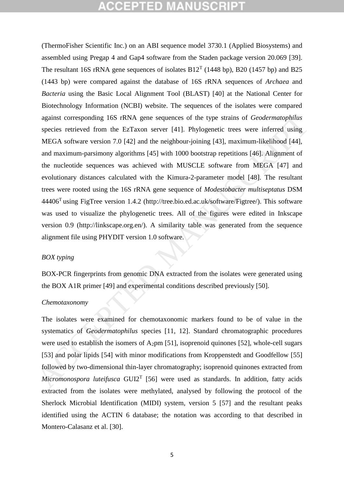## :CEPTED MAN

(ThermoFisher Scientific Inc.) on an ABI sequence model 3730.1 (Applied Biosystems) and assembled using Pregap 4 and Gap4 software from the Staden package version 20.069 [39]. The resultant 16S rRNA gene sequences of isolates  $B12<sup>T</sup>$  (1448 bp), B20 (1457 bp) and B25 (1443 bp) were compared against the database of 16S rRNA sequences of *Archaea* and *Bacteria* using the Basic Local Alignment Tool (BLAST) [40] at the National Center for Biotechnology Information (NCBI) website. The sequences of the isolates were compared against corresponding 16S rRNA gene sequences of the type strains of *Geodermatophilus*  species retrieved from the EzTaxon server [41]. Phylogenetic trees were inferred using MEGA software version 7.0 [42] and the neighbour-joining [43], maximum-likelihood [44], and maximum-parsimony algorithms [45] with 1000 bootstrap repetitions [46]. Alignment of the nucleotide sequences was achieved with MUSCLE software from MEGA [47] and evolutionary distances calculated with the Kimura-2-parameter model [48]. The resultant trees were rooted using the 16S rRNA gene sequence of *Modestobacter multiseptatus* DSM  $44406<sup>T</sup>$  using FigTree version 1.4.2 (http://tree.bio.ed.ac.uk/software/Figtree/). This software was used to visualize the phylogenetic trees. All of the figures were edited in Inkscape version 0.9 (http://linkscape.org.en/). A similarity table was generated from the sequence alignment file using PHYDIT version 1.0 software. against corresponding 16S RNA gene sequences of the type strains of *Geodermatophilus*<br>species retrieved from the E7Iaxon server [41]. Phylogenetic trees were inferred using<br>MEGA software version 7.01421 and the neighbour

### *BOX typing*

BOX-PCR fingerprints from genomic DNA extracted from the isolates were generated using the BOX A1R primer [49] and experimental conditions described previously [50].

#### *Chemotaxonomy*

The isolates were examined for chemotaxonomic markers found to be of value in the systematics of *Geodermatophilus* species [11, 12]. Standard chromatographic procedures were used to establish the isomers of  $A_2$ pm [51], isoprenoid quinones [52], whole-cell sugars [53] and polar lipids [54] with minor modifications from Kroppenstedt and Goodfellow [55] followed by two-dimensional thin-layer chromatography; isoprenoid quinones extracted from *Micromonospora luteifusca* GUI2<sup>T</sup> [56] were used as standards. In addition, fatty acids extracted from the isolates were methylated, analysed by following the protocol of the Sherlock Microbial Identification (MIDI) system, version 5 [57] and the resultant peaks identified using the ACTIN 6 database; the notation was according to that described in Montero-Calasanz et al. [30].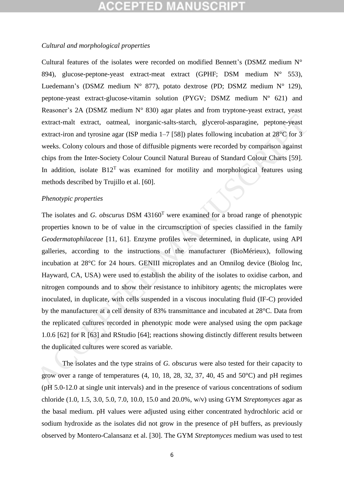### *Cultural and morphological properties*

Cultural features of the isolates were recorded on modified Bennett's (DSMZ medium N° 894), glucose-peptone-yeast extract-meat extract (GPHF; DSM medium N° 553), Luedemann's (DSMZ medium N° 877), potato dextrose (PD; DSMZ medium N° 129), peptone-yeast extract-glucose-vitamin solution (PYGV; DSMZ medium Nº 621) and Reasoner's 2A (DSMZ medium N° 830) agar plates and from tryptone-yeast extract, yeast extract-malt extract, oatmeal, inorganic-salts-starch, glycerol-asparagine, peptone-yeast extract-iron and tyrosine agar (ISP media 1–7 [58]) plates following incubation at 28<sup>o</sup>C for 3 weeks. Colony colours and those of diffusible pigments were recorded by comparison against chips from the Inter-Society Colour Council Natural Bureau of Standard Colour Charts [59]. In addition, isolate  $B12<sup>T</sup>$  was examined for motility and morphological features using methods described by Trujillo et al. [60].

### *Phenotypic properties*

The isolates and *G. obscurus* DSM 43160<sup>T</sup> were examined for a broad range of phenotypic properties known to be of value in the circumscription of species classified in the family *Geodermatophilaceae* [11, 61]. Enzyme profiles were determined, in duplicate, using API galleries, according to the instructions of the manufacturer (BioMérieux), following incubation at 28°C for 24 hours. GENIII microplates and an Omnilog device (Biolog Inc, Hayward, CA, USA) were used to establish the ability of the isolates to oxidise carbon, and nitrogen compounds and to show their resistance to inhibitory agents; the microplates were inoculated, in duplicate, with cells suspended in a viscous inoculating fluid (IF-C) provided by the manufacturer at a cell density of 83% transmittance and incubated at 28°C. Data from the replicated cultures recorded in phenotypic mode were analysed using the opm package 1.0.6 [62] for R [63] and RStudio [64]; reactions showing distinctly different results between the duplicated cultures were scored as variable. extract-mall extract, oatmeal, inorganic-salts-starch, glycerol-asparagine, peptone-yeast<br>extract-iron and tyrosine agar (ISP media 1-7 [58]) plates following incubation at 28°C for 3<br>weeks. Colony colours and those of di

The isolates and the type strains of *G. obscurus* were also tested for their capacity to grow over a range of temperatures (4, 10, 18, 28, 32, 37, 40, 45 and 50°C) and pH regimes (pH 5.0-12.0 at single unit intervals) and in the presence of various concentrations of sodium chloride (1.0, 1.5, 3.0, 5.0, 7.0, 10.0, 15.0 and 20.0%, w/v) using GYM *Streptomyces* agar as the basal medium. pH values were adjusted using either concentrated hydrochloric acid or sodium hydroxide as the isolates did not grow in the presence of pH buffers, as previously observed by Montero-Calansanz et al. [30]. The GYM *Streptomyces* medium was used to test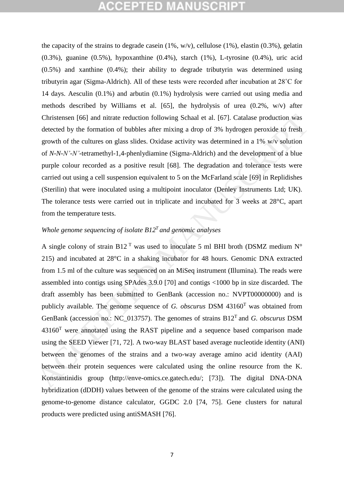## CCEPTED MANUSCRI

the capacity of the strains to degrade casein  $(1\%, w/v)$ , cellulose  $(1\%)$ , elastin  $(0.3\%)$ , gelatin (0.3%), guanine (0.5%), hypoxanthine (0.4%), starch (1%), L-tyrosine (0.4%), uric acid (0.5%) and xanthine (0.4%); their ability to degrade tributyrin was determined using tributyrin agar (Sigma-Aldrich). All of these tests were recorded after incubation at 28˚C for 14 days. Aesculin (0.1%) and arbutin (0.1%) hydrolysis were carried out using media and methods described by Williams et al. [65], the hydrolysis of urea (0.2%, w/v) after Christensen [66] and nitrate reduction following Schaal et al. [67]. Catalase production was detected by the formation of bubbles after mixing a drop of 3% hydrogen peroxide to fresh growth of the cultures on glass slides. Oxidase activity was determined in a 1% w/v solution of *N-N-N'-N'*-tetramethyl-1,4-phenlydiamine (Sigma-Aldrich) and the development of a blue purple colour recorded as a positive result [68]. The degradation and tolerance tests were carried out using a cell suspension equivalent to 5 on the McFarland scale [69] in Replidishes (Sterilin) that were inoculated using a multipoint inoculator (Denley Instruments Ltd; UK). The tolerance tests were carried out in triplicate and incubated for 3 weeks at 28°C, apart from the temperature tests.

### *Whole genome sequencing of isolate B12<sup>T</sup>and genomic analyses*

A single colony of strain B12<sup>T</sup> was used to inoculate 5 ml BHI broth (DSMZ medium  $N^{\circ}$ ) 215) and incubated at 28°C in a shaking incubator for 48 hours. Genomic DNA extracted from 1.5 ml of the culture was sequenced on an MiSeq instrument (Illumina). The reads were assembled into contigs using SPAdes 3.9.0 [70] and contigs <1000 bp in size discarded. The draft assembly has been submitted to GenBank (accession no.: NVPT00000000) and is publicly available. The genome sequence of *G. obscurus* DSM 43160<sup>T</sup> was obtained from GenBank (accession no.: NC\_013757). The genomes of strains B12<sup>T</sup> and *G. obscurus* DSM  $43160<sup>T</sup>$  were annotated using the RAST pipeline and a sequence based comparison made using the SEED Viewer [71, 72]. A two-way BLAST based average nucleotide identity (ANI) between the genomes of the strains and a two-way average amino acid identity (AAI) between their protein sequences were calculated using the online resource from the K. Konstantinidis group (http://enve-omics.ce.gatech.edu/; [73]). The digital DNA-DNA hybridization (dDDH) values between of the genome of the strains were calculated using the genome-to-genome distance calculator, GGDC 2.0 [74, 75]. Gene clusters for natural products were predicted using antiSMASH [76]. Christensen [66] and nitrate reduction following Schaal et al. [67]. Catalase production was<br>detected by the formation of hubbles after mixing a drop of 3% hydrogen pervale to fresh<br>growth of the cultures on glass lides.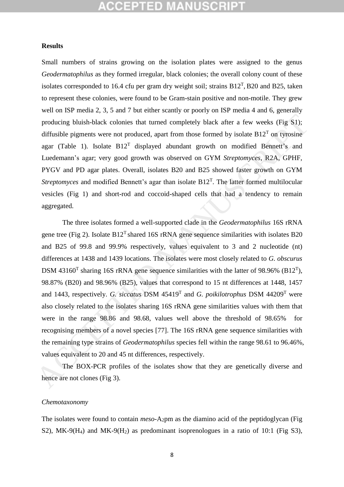#### **Results**

Small numbers of strains growing on the isolation plates were assigned to the genus *Geodermatophilus* as they formed irregular, black colonies; the overall colony count of these isolates corresponded to 16.4 cfu per gram dry weight soil; strains  $B12<sup>T</sup>$ , B20 and B25, taken to represent these colonies, were found to be Gram-stain positive and non-motile. They grew well on ISP media 2, 3, 5 and 7 but either scantly or poorly on ISP media 4 and 6, generally producing bluish-black colonies that turned completely black after a few weeks (Fig S1); diffusible pigments were not produced, apart from those formed by isolate  $B12<sup>T</sup>$  on tyrosine agar (Table 1). Isolate  $B12<sup>T</sup>$  displayed abundant growth on modified Bennett's and Luedemann's agar; very good growth was observed on GYM *Streptomyces*, R2A, GPHF, PYGV and PD agar plates. Overall, isolates B20 and B25 showed faster growth on GYM *Streptomyces* and modified Bennett's agar than isolate B12<sup>T</sup> . The latter formed multilocular vesicles (Fig 1) and short-rod and coccoid-shaped cells that had a tendency to remain aggregated.

The three isolates formed a well-supported clade in the *Geodermatophilus* 16S rRNA gene tree (Fig 2). Isolate  $B12^T$  shared 16S rRNA gene sequence similarities with isolates B20 and B25 of 99.8 and 99.9% respectively, values equivalent to 3 and 2 nucleotide (nt) differences at 1438 and 1439 locations. The isolates were most closely related to *G. obscurus* DSM 43160<sup>T</sup> sharing 16S rRNA gene sequence similarities with the latter of 98.96% (B12<sup>T</sup>), 98.87% (B20) and 98.96% (B25), values that correspond to 15 nt differences at 1448, 1457 and 1443, respectively. *G. siccatus* DSM 45419<sup>T</sup> and *G. poikilotrophus* DSM 44209<sup>T</sup> were also closely related to the isolates sharing 16S rRNA gene similarities values with them that were in the range 98.86 and 98.68, values well above the threshold of 98.65% for recognising members of a novel species [77]. The 16S rRNA gene sequence similarities with the remaining type strains of *Geodermatophilus* species fell within the range 98.61 to 96.46%, values equivalent to 20 and 45 nt differences, respectively. producing bluish-black colonies that turned completely black after a few weeks (Fig S1);<br>diffusible pigments were not produced, apart from those formed by isolate B12<sup>T</sup> on tyrosine<br>agar (Table 1). Isolate B12<sup>T</sup> displaye

The BOX-PCR profiles of the isolates show that they are genetically diverse and hence are not clones (Fig 3).

#### *Chemotaxonomy*

The isolates were found to contain *meso*-A2pm as the diamino acid of the peptidoglycan (Fig S2), MK-9( $H_4$ ) and MK-9( $H_2$ ) as predominant isoprenologues in a ratio of 10:1 (Fig S3),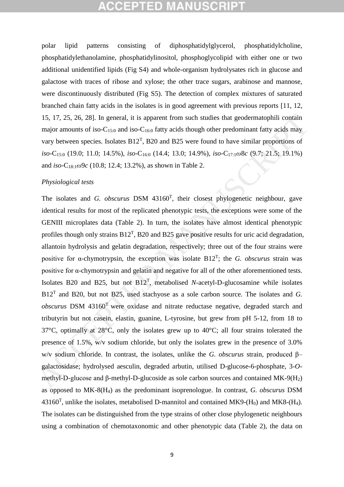polar lipid patterns consisting of diphosphatidylglycerol, phosphatidylcholine, phosphatidylethanolamine, phosphatidylinositol, phosphoglycolipid with either one or two additional unidentified lipids (Fig S4) and whole-organism hydrolysates rich in glucose and galactose with traces of ribose and xylose; the other trace sugars, arabinose and mannose, were discontinuously distributed (Fig S5). The detection of complex mixtures of saturated branched chain fatty acids in the isolates is in good agreement with previous reports [11, 12, 15, 17, 25, 26, 28]. In general, it is apparent from such studies that geodermatophili contain major amounts of iso-C<sub>15:0</sub> and iso-C<sub>16:0</sub> fatty acids though other predominant fatty acids may vary between species. Isolates  $B12<sup>T</sup>$ , B20 and B25 were found to have similar proportions of *iso*-C15:0 (19.0; 11.0; 14.5%), *iso*-C16:0 (14.4; 13.0; 14.9%), *iso-*C17:1*ω*8*c* (9.7; 21.5; 19.1%) and *iso-*C18:1*ω*9*c* (10.8; 12.4; 13.2%), as shown in Table 2.

#### *Physiological tests*

The isolates and *G. obscurus* DSM 43160<sup>T</sup> , their closest phylogenetic neighbour, gave identical results for most of the replicated phenotypic tests, the exceptions were some of the GENIII microplates data (Table 2). In turn, the isolates have almost identical phenotypic profiles though only strains  $B12^T$ , B20 and B25 gave positive results for uric acid degradation, allantoin hydrolysis and gelatin degradation, respectively; three out of the four strains were positive for α-chymotrypsin, the exception was isolate B12<sup>T</sup> ; the *G. obscurus* strain was positive for α-chymotrypsin and gelatin and negative for all of the other aforementioned tests. Isolates B20 and B25, but not  $B12<sup>T</sup>$ , metabolised *N*-acetyl-D-glucosamine while isolates  $B12<sup>T</sup>$  and B20, but not B25, used stachyose as a sole carbon source. The isolates and *G*. *obscurus* DSM 43160<sup>T</sup> were oxidase and nitrate reductase negative, degraded starch and tributyrin but not casein, elastin, guanine, L-tyrosine, but grew from pH 5-12, from 18 to 37°C, optimally at 28°C, only the isolates grew up to 40°C; all four strains tolerated the presence of 1.5%, w/v sodium chloride, but only the isolates grew in the presence of 3.0% w/v sodium chloride. In contrast, the isolates, unlike the *G. obscurus* strain, produced β– galactosidase; hydrolysed aesculin, degraded arbutin, utilised D-glucose-6-phosphate, 3-*O*methyl-D-glucose and β-methyl-D-glucoside as sole carbon sources and contained MK-9(H2) as opposed to MK-8(H4) as the predominant isoprenologue. In contrast, *G. obscurus* DSM 43160<sup>T</sup>, unlike the isolates, metabolised D-mannitol and contained MK9- $(H_0)$  and MK8- $(H_4)$ . The isolates can be distinguished from the type strains of other close phylogenetic neighbours using a combination of chemotaxonomic and other phenotypic data (Table 2), the data on 15, 17, 25, 26, 28). In general, it is apparent from such studies that geodernatophili contain<br>major amounts of iso-C<sub>155</sub> and iso-C<sub>155</sub> fatty acids though other predominant fatty acids may<br>vary between species. Isolates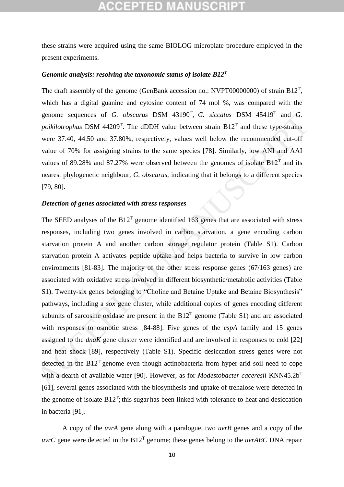these strains were acquired using the same BIOLOG microplate procedure employed in the present experiments.

### *Genomic analysis: resolving the taxonomic status of isolate B12<sup>T</sup>*

The draft assembly of the genome (GenBank accession no.: NVPT00000000) of strain  $B12^T$ , which has a digital guanine and cytosine content of 74 mol %, was compared with the genome sequences of *G. obscurus* DSM 43190<sup>T</sup> , *G. siccatus* DSM 45419<sup>T</sup> and *G. poikilotrophus* DSM 44209<sup>T</sup>. The dDDH value between strain  $B12<sup>T</sup>$  and these type-strains were 37.40, 44.50 and 37.80%, respectively, values well below the recommended cut-off value of 70% for assigning strains to the same species [78]. Similarly, low ANI and AAI values of 89.28% and 87.27% were observed between the genomes of isolate  $B12<sup>T</sup>$  and its nearest phylogenetic neighbour, *G. obscurus,* indicating that it belongs to a different species [79, 80].

#### *Detection of genes associated with stress responses*

The SEED analyses of the  $B12<sup>T</sup>$  genome identified 163 genes that are associated with stress responses, including two genes involved in carbon starvation, a gene encoding carbon starvation protein A and another carbon storage regulator protein (Table S1). Carbon starvation protein A activates peptide uptake and helps bacteria to survive in low carbon environments [81-83]. The majority of the other stress response genes (67/163 genes) are associated with oxidative stress involved in different biosynthetic/metabolic activities (Table S1). Twenty-six genes belonging to "Choline and Betaine Uptake and Betaine Biosynthesis" pathways, including a *sox* gene cluster, while additional copies of genes encoding different subunits of sarcosine oxidase are present in the  $B12<sup>T</sup>$  genome (Table S1) and are associated with responses to osmotic stress [84-88]. Five genes of the *cspA* family and 15 genes assigned to the *dnaK* gene cluster were identified and are involved in responses to cold [22] and heat shock [89], respectively (Table S1). Specific desiccation stress genes were not detected in the  $B12<sup>T</sup>$  genome even though actinobacteria from hyper-arid soil need to cope with a dearth of available water [90]. However, as for *Modestobacter caceresii* KNN45.2b<sup>T</sup> [61], several genes associated with the biosynthesis and uptake of trehalose were detected in the genome of isolate  $B12^T$ ; this sugar has been linked with tolerance to heat and desiccation in bacteria [91]. genome sequences of *G. obscurus* DSM 43190°, *G. secentus* DSM 4349° and *G.*<br>positionrophus DSM 4209°. The dDDH value between stain B12<sup>7</sup> and desc type-strains<br>were 37.40, 44.50 and 37.80%. respectively, values well be

A copy of the *uvrA* gene along with a paralogue, two *uvrB* genes and a copy of the  $uvrC$  gene were detected in the  $B12<sup>T</sup>$  genome; these genes belong to the *uvrABC* DNA repair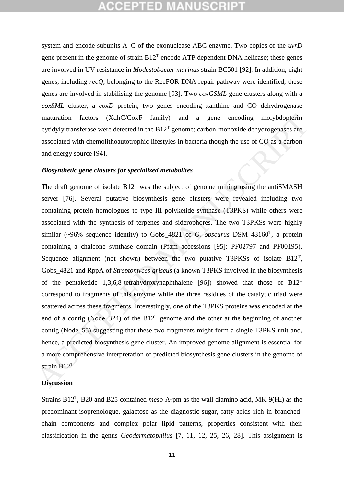## GEPTED

system and encode subunits A–C of the exonuclease ABC enzyme. Two copies of the *uvrD* gene present in the genome of strain  $B12<sup>T</sup>$  encode ATP dependent DNA helicase; these genes are involved in UV resistance in *Modestobacter marinus* strain BC501 [92]. In addition, eight genes, including *recQ,* belonging to the RecFOR DNA repair pathway were identified, these genes are involved in stabilising the genome [93]. Two *coxGSML* gene clusters along with a *coxSML* cluster, a *coxD* protein, two genes encoding xanthine and CO dehydrogenase maturation factors (XdhC/CoxF family) and a gene encoding molybdopterin cytidylyltransferase were detected in the  $B12<sup>T</sup>$  genome; carbon-monoxide dehydrogenases are associated with chemolithoautotrophic lifestyles in bacteria though the use of CO as a carbon and energy source [94].

### *Biosynthetic gene clusters for specialized metabolites*

The draft genome of isolate  $B12<sup>T</sup>$  was the subject of genome mining using the antiSMASH server [76]. Several putative biosynthesis gene clusters were revealed including two containing protein homologues to type III polyketide synthase (T3PKS) while others were associated with the synthesis of terpenes and siderophores. The two T3PKSs were highly similar  $(\sim)$ 96% sequence identity) to Gobs\_4821 of *G. obscurus* DSM 43160<sup>T</sup>, a protein containing a chalcone synthase domain (Pfam accessions [95]: PF02797 and PF00195). Sequence alignment (not shown) between the two putative T3PKSs of isolate B12<sup>T</sup>, Gobs\_4821 and RppA of *Streptomyces griseus* (a known T3PKS involved in the biosynthesis of the pentaketide 1,3,6,8-tetrahydroxynaphthalene [96]) showed that those of  $B12<sup>T</sup>$ correspond to fragments of this enzyme while the three residues of the catalytic triad were scattered across these fragments. Interestingly, one of the T3PKS proteins was encoded at the end of a contig (Node  $324$ ) of the B12<sup>T</sup> genome and the other at the beginning of another contig (Node\_55) suggesting that these two fragments might form a single T3PKS unit and, hence, a predicted biosynthesis gene cluster. An improved genome alignment is essential for a more comprehensive interpretation of predicted biosynthesis gene clusters in the genome of strain B12<sup>T</sup> . maturation factors (XdhC/CoxF family) and a gene encoding molybdopterin<br>eyidylyltransferase were detected in the B12<sup>T</sup> genome; carbon-monoxide dehydrogenases are<br>associated with chemolithoautorophic lifestyles in bacteri

### **Discussion**

Strains B12<sup>T</sup> , B20 and B25 contained *meso*-A2pm as the wall diamino acid, MK-9(H4) as the predominant isoprenologue, galactose as the diagnostic sugar, fatty acids rich in branchedchain components and complex polar lipid patterns, properties consistent with their classification in the genus *Geodermatophilus* [7, 11, 12, 25, 26, 28]. This assignment is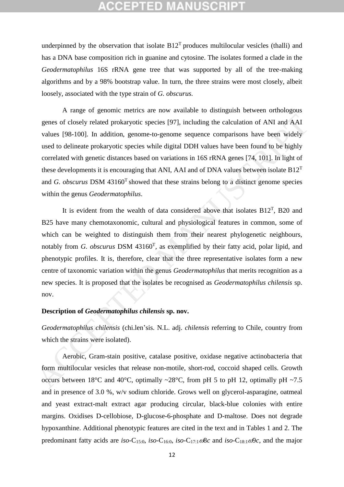underpinned by the observation that isolate  $B12<sup>T</sup>$  produces multilocular vesicles (thalli) and has a DNA base composition rich in guanine and cytosine. The isolates formed a clade in the *Geodermatophilus* 16S rRNA gene tree that was supported by all of the tree-making algorithms and by a 98% bootstrap value. In turn, the three strains were most closely, albeit loosely, associated with the type strain of *G. obscurus.* 

A range of genomic metrics are now available to distinguish between orthologous genes of closely related prokaryotic species [97], including the calculation of ANI and AAI values [98-100]. In addition, genome-to-genome sequence comparisons have been widely used to delineate prokaryotic species while digital DDH values have been found to be highly correlated with genetic distances based on variations in 16S rRNA genes [74, 101]. In light of these developments it is encouraging that ANI, AAI and of DNA values between isolate B12<sup>T</sup> and *G. obscurus* DSM 43160<sup>T</sup> showed that these strains belong to a distinct genome species within the genus *Geodermatophilus*.

It is evident from the wealth of data considered above that isolates B12<sup>T</sup> , B20 and B25 have many chemotaxonomic, cultural and physiological features in common, some of which can be weighted to distinguish them from their nearest phylogenetic neighbours, notably from *G. obscurus* DSM 43160<sup>T</sup>, as exemplified by their fatty acid, polar lipid, and phenotypic profiles. It is, therefore, clear that the three representative isolates form a new centre of taxonomic variation within the genus *Geodermatophilus* that merits recognition as a new species. It is proposed that the isolates be recognised as *Geodermatophilus chilensis* sp. nov. genes of closely related prokaryotic species [97], including the calculation of ANI and AAI<br>values [98-100]. In addition, genome-to-genome sequence comparisons have been widely<br>used to delineate prokaryotic species while

#### **Description of** *Geodermatophilus chilensis* **sp. nov.**

*Geodermatophilus chilensis* (chi.len'sis. N.L. adj. *chilensis* referring to Chile, country from which the strains were isolated).

Aerobic, Gram-stain positive, catalase positive, oxidase negative actinobacteria that form multilocular vesicles that release non-motile, short-rod, coccoid shaped cells. Growth occurs between 18°C and 40°C, optimally  $\sim$ 28°C, from pH 5 to pH 12, optimally pH  $\sim$ 7.5 and in presence of 3.0 %, w/v sodium chloride. Grows well on glycerol-asparagine, oatmeal and yeast extract-malt extract agar producing circular, black-blue colonies with entire margins. Oxidises D-cellobiose, D-glucose-6-phosphate and D-maltose. Does not degrade hypoxanthine. Additional phenotypic features are cited in the text and in Tables 1 and 2. The predominant fatty acids are *iso*-C<sub>15:0</sub>, *iso*-C<sub>16:0</sub>, *iso*-C<sub>17:1</sub> $\omega$ 8c and *iso*-C<sub>18:1</sub> $\omega$ 9c, and the major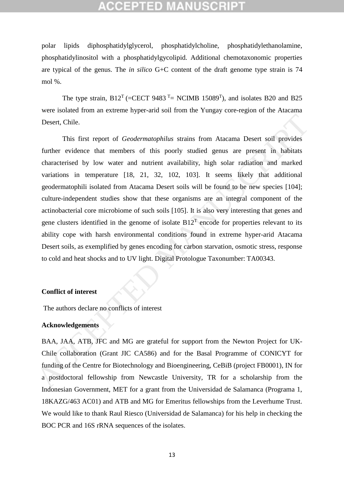polar lipids diphosphatidylglycerol, phosphatidylcholine, phosphatidylethanolamine, phosphatidylinositol with a phosphatidylgycolipid. Additional chemotaxonomic properties are typical of the genus. The *in silico* G+C content of the draft genome type strain is 74 mol %.

The type strain,  $B12^T$  (=CECT 9483<sup>T</sup> = NCIMB 15089<sup>T</sup>), and isolates B20 and B25 were isolated from an extreme hyper-arid soil from the Yungay core-region of the Atacama Desert, Chile.

This first report of *Geodermatophilus* strains from Atacama Desert soil provides further evidence that members of this poorly studied genus are present in habitats characterised by low water and nutrient availability, high solar radiation and marked variations in temperature [18, 21, 32, 102, 103]. It seems likely that additional geodermatophili isolated from Atacama Desert soils will be found to be new species [104]; culture-independent studies show that these organisms are an integral component of the actinobacterial core microbiome of such soils [105]. It is also very interesting that genes and gene clusters identified in the genome of isolate  $B12<sup>T</sup>$  encode for properties relevant to its ability cope with harsh environmental conditions found in extreme hyper-arid Atacama Desert soils, as exemplified by genes encoding for carbon starvation, osmotic stress, response to cold and heat shocks and to UV light. Digital Protologue Taxonumber: TA00343. Desert, Chile.<br>
This first report of *Geodermatophilus* strains from Atacama Desert soil provides<br>
further evidence that members of this poorly studied genus are present in habitats<br>
characterised by low water and nutrient

#### **Conflict of interest**

The authors declare no conflicts of interest

#### **Acknowledgements**

BAA, JAA, ATB, JFC and MG are grateful for support from the Newton Project for UK-Chile collaboration (Grant JIC CA586) and for the Basal Programme of CONICYT for funding of the Centre for Biotechnology and Bioengineering, CeBiB (project FB0001), IN for a postdoctoral fellowship from Newcastle University, TR for a scholarship from the Indonesian Government, MET for a grant from the Universidad de Salamanca (Programa 1, 18KAZG/463 AC01) and ATB and MG for Emeritus fellowships from the Leverhume Trust. We would like to thank Raul Riesco (Universidad de Salamanca) for his help in checking the BOC PCR and 16S rRNA sequences of the isolates.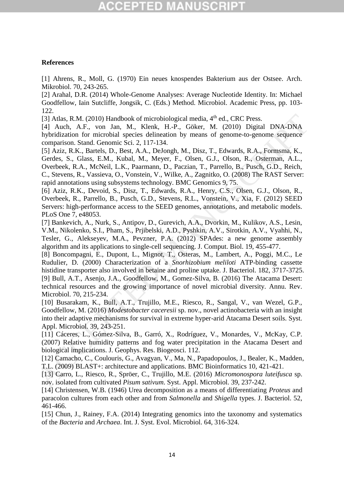## CEPTED

### **References**

[1] Ahrens, R., Moll, G. (1970) Ein neues knospendes Bakterium aus der Ostsee. Arch. Mikrobiol. 70, 243-265.

[2] Arahal, D.R. (2014) Whole-Genome Analyses: Average Nucleotide Identity. In: Michael Goodfellow, Iain Sutcliffe, Jongsik, C. (Eds.) Method. Microbiol. Academic Press, pp. 103- 122.

[3] Atlas, R.M. (2010) Handbook of microbiological media,  $4<sup>th</sup>$  ed., CRC Press.

[4] Auch, A.F., von Jan, M., Klenk, H.-P., Göker, M. (2010) Digital DNA-DNA hybridization for microbial species delineation by means of genome-to-genome sequence comparison. Stand. Genomic Sci. 2, 117-134.

[5] Aziz, R.K., Bartels, D., Best, A.A., DeJongh, M., Disz, T., Edwards, R.A., Formsma, K., Gerdes, S., Glass, E.M., Kubal, M., Meyer, F., Olsen, G.J., Olson, R., Osterman, A.L., Overbeek, R.A., McNeil, L.K., Paarmann, D., Paczian, T., Parrello, B., Pusch, G.D., Reich, C., Stevens, R., Vassieva, O., Vonstein, V., Wilke, A., Zagnitko, O. (2008) The RAST Server: rapid annotations using subsystems technology. BMC Genomics 9, 75.

[6] Aziz, R.K., Devoid, S., Disz, T., Edwards, R.A., Henry, C.S., Olsen, G.J., Olson, R., Overbeek, R., Parrello, B., Pusch, G.D., Stevens, R.L., Vonstein, V., Xia, F. (2012) SEED Servers: high-performance access to the SEED genomes, annotations, and metabolic models. PLoS One 7, e48053.

[7] Bankevich, A., Nurk, S., Antipov, D., Gurevich, A.A., Dvorkin, M., Kulikov, A.S., Lesin, V.M., Nikolenko, S.I., Pham, S., Prjibelski, A.D., Pyshkin, A.V., Sirotkin, A.V., Vyahhi, N., Tesler, G., Alekseyev, M.A., Pevzner, P.A. (2012) SPAdes: a new genome assembly algorithm and its applications to single-cell sequencing. J. Comput. Biol. 19, 455-477.

[8] Boncompagni, E., Dupont, L., Mignot, T., Osteras, M., Lambert, A., Poggi, M.C., Le Rudulier, D. (2000) Characterization of a *Snorhizobium meliloti* ATP-binding cassette histidine transporter also involved in betaine and proline uptake. J. Bacteriol. 182, 3717-3725. [9] Bull, A.T., Asenjo, J.A., Goodfellow, M., Gomez-Silva, B. (2016) The Atacama Desert: technical resources and the growing importance of novel microbial diversity. Annu. Rev. Microbiol. 70, 215-234. [3] Anta, R. M. (2010) Handbook of microbiological media,  $4^{\text{th}}$  ed., CRC Press,<br>
[4] Anta, R. M. Com Jam, M., Klenk, H.-P., Göker, M. (2010) Digital DNA-DNA<br>
hybridization for microbial species delineation by means of

[10] Busarakam, K., Bull, A.T., Trujillo, M.E., Riesco, R., Sangal, V., van Wezel, G.P., Goodfellow, M. (2016) *Modestobacter caceresii* sp. nov., novel actinobacteria with an insight into their adaptive mechanisms for survival in extreme hyper-arid Atacama Desert soils. Syst. Appl. Microbiol. 39, 243-251.

[11] Cáceres, L., Gómez-Silva, B., Garró, X., Rodríguez, V., Monardes, V., McKay, C.P. (2007) Relative humidity patterns and fog water precipitation in the Atacama Desert and biological implications. J. Geophys. Res. Biogeosci. 112.

[12] Camacho, C., Coulouris, G., Avagyan, V., Ma, N., Papadopoulos, J., Bealer, K., Madden, T.L. (2009) BLAST+: architecture and applications. BMC Bioinformatics 10, 421-421.

[13] Carro, L., Riesco, R., Spröer, C., Trujillo, M.E. (2016) *Micromonospora luteifusca* sp. nov. isolated from cultivated *Pisum sativum*. Syst. Appl. Microbiol. 39, 237-242.

[14] Christensen, W.B. (1946) Urea decomposition as a means of differentiating *Proteus* and paracolon cultures from each other and from *Salmonella* and *Shigella* types. J. Bacteriol. 52, 461-466.

[15] Chun, J., Rainey, F.A. (2014) Integrating genomics into the taxonomy and systematics of the *Bacteria* and *Archaea*. Int. J. Syst. Evol. Microbiol. 64, 316-324.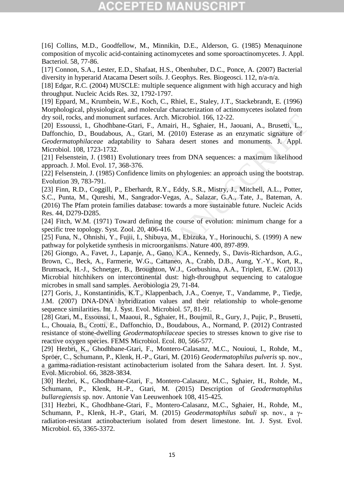## **CEPTED M**

[16] Collins, M.D., Goodfellow, M., Minnikin, D.E., Alderson, G. (1985) Menaquinone composition of mycolic acid-containing actinomycetes and some sporoactinomycetes. J. Appl. Bacteriol. 58, 77-86.

[17] Connon, S.A., Lester, E.D., Shafaat, H.S., Obenhuber, D.C., Ponce, A. (2007) Bacterial diversity in hyperarid Atacama Desert soils. J. Geophys. Res. Biogeosci. 112, n/a-n/a.

[18] Edgar, R.C. (2004) MUSCLE: multiple sequence alignment with high accuracy and high throughput. Nucleic Acids Res. 32, 1792-1797.

[19] Eppard, M., Krumbein, W.E., Koch, C., Rhiel, E., Staley, J.T., Stackebrandt, E. (1996) Morphological, physiological, and molecular characterization of actinomycetes isolated from dry soil, rocks, and monument surfaces. Arch. Microbiol. 166, 12-22.

[20] Essoussi, I., Ghodhbane-Gtari, F., Amairi, H., Sghaier, H., Jaouani, A., Brusetti, L., Daffonchio, D., Boudabous, A., Gtari, M. (2010) Esterase as an enzymatic signature of *Geodermatophilaceae* adaptability to Sahara desert stones and monuments. J. Appl. Microbiol. 108, 1723-1732.

[21] Felsenstein, J. (1981) Evolutionary trees from DNA sequences: a maximum likelihood approach. J. Mol. Evol. 17, 368-376.

[22] Felsenstein, J. (1985) Confidence limits on phylogenies: an approach using the bootstrap. Evolution 39, 783-791.

[23] Finn, R.D., Coggill, P., Eberhardt, R.Y., Eddy, S.R., Mistry, J., Mitchell, A.L., Potter, S.C., Punta, M., Qureshi, M., Sangrador-Vegas, A., Salazar, G.A., Tate, J., Bateman, A. (2016) The Pfam protein families database: towards a more sustainable future. Nucleic Acids Res. 44, D279-D285.

[24] Fitch, W.M. (1971) Toward defining the course of evolution: minimum change for a specific tree topology. Syst. Zool. 20, 406-416.

[25] Funa, N., Ohnishi, Y., Fujii, I., Shibuya, M., Ebizuka, Y., Horinouchi, S. (1999) A new pathway for polyketide synthesis in microorganisms. Nature 400, 897-899.

[26] Giongo, A., Favet, J., Lapanje, A., Gano, K.A., Kennedy, S., Davis-Richardson, A.G., Brown, C., Beck, A., Farmerie, W.G., Cattaneo, A., Crabb, D.B., Aung, Y.-Y., Kort, R., Brumsack, H.-J., Schnetger, B., Broughton, W.J., Gorbushina, A.A., Triplett, E.W. (2013) Microbial hitchhikers on intercontinental dust: high-throughput sequencing to catalogue microbes in small sand samples. Aerobiologia 29, 71-84. dry soil, rocks, and monumum turninears. Arch, Microbiol. 166, 12-22.<br>
[29 JEssonsi, J., Ghodhbane-Ginri, F., Amairi, H., Sghairr, H., Jouani, A., Brusetti, L., Dalfonchio, D., Boudabous, A., Ginri, M. (2010) Esterase as

[27] Goris, J., Konstantinidis, K.T., Klappenbach, J.A., Coenye, T., Vandamme, P., Tiedje, J.M. (2007) DNA-DNA hybridization values and their relationship to whole-genome sequence similarities. Int. J. Syst. Evol. Microbiol. 57, 81-91.

[28] Gtari, M., Essoussi, I., Maaoui, R., Sghaier, H., Boujmil, R., Gury, J., Pujic, P., Brusetti, L., Chouaia, B., Crotti, E., Daffonchio, D., Boudabous, A., Normand, P. (2012) Contrasted resistance of stone-dwelling *Geodermatophilaceae* species to stresses known to give rise to reactive oxygen species. FEMS Microbiol. Ecol. 80, 566-577.

[29] Hezbri, K., Ghodhbane-Gtari, F., Montero-Calasanz, M.C., Nouioui, I., Rohde, M., Spröer, C., Schumann, P., Klenk, H.-P., Gtari, M. (2016) *Geodermatophilus pulveris* sp. nov., a gamma-radiation-resistant actinobacterium isolated from the Sahara desert. Int. J. Syst. Evol. Microbiol. 66, 3828-3834.

[30] Hezbri, K., Ghodhbane-Gtari, F., Montero-Calasanz, M.C., Sghaier, H., Rohde, M., Schumann, P., Klenk, H.-P., Gtari, M. (2015) Description of *Geodermatophilus bullaregiensis* sp. nov. Antonie Van Leeuwenhoek 108, 415-425.

[31] Hezbri, K., Ghodhbane-Gtari, F., Montero-Calasanz, M.C., Sghaier, H., Rohde, M., Schumann, P., Klenk, H.-P., Gtari, M. (2015) *Geodermatophilus sabuli* sp. nov., a γradiation-resistant actinobacterium isolated from desert limestone. Int. J. Syst. Evol. Microbiol. 65, 3365-3372.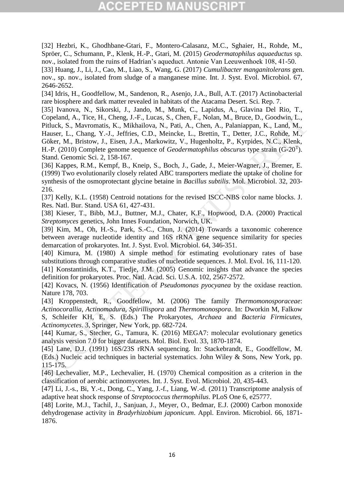## GEPTED

[32] Hezbri, K., Ghodhbane-Gtari, F., Montero-Calasanz, M.C., Sghaier, H., Rohde, M., Spröer, C., Schumann, P., Klenk, H.-P., Gtari, M. (2015) *Geodermatophilus aquaeductus* sp. nov., isolated from the ruins of Hadrian's aqueduct. Antonie Van Leeuwenhoek 108, 41-50.

[33] Huang, J., Li, J., Cao, M., Liao, S., Wang, G. (2017) *Cumulibacter manganitolerans* gen. nov., sp. nov., isolated from sludge of a manganese mine. Int. J. Syst. Evol. Microbiol. 67, 2646-2652.

[34] Idris, H., Goodfellow, M., Sandenon, R., Asenjo, J.A., Bull, A.T. (2017) Actinobacterial rare biosphere and dark matter revealed in habitats of the Atacama Desert. Sci. Rep. 7.

[35] Ivanova, N., Sikorski, J., Jando, M., Munk, C., Lapidus, A., Glavina Del Rio, T., Copeland, A., Tice, H., Cheng, J.-F., Lucas, S., Chen, F., Nolan, M., Bruce, D., Goodwin, L., Pitluck, S., Mavromatis, K., Mikhailova, N., Pati, A., Chen, A., Palaniappan, K., Land, M., Hauser, L., Chang, Y.-J., Jeffries, C.D., Meincke, L., Brettin, T., Detter, J.C., Rohde, M., Göker, M., Bristow, J., Eisen, J.A., Markowitz, V., Hugenholtz, P., Kyrpides, N.C., Klenk, H.-P. (2010) Complete genome sequence of *Geodermatophilus obscurus* type strain (G-20<sup>T</sup> ). Stand. Genomic Sci. 2, 158-167. ACCEPTED MANUSCRIPT

[36] Kappes, R.M., Kempf, B., Kneip, S., Boch, J., Gade, J., Meier-Wagner, J., Bremer, E. (1999) Two evolutionarily closely related ABC transporters mediate the uptake of choline for synthesis of the osmoprotectant glycine betaine in *Bacillus subtilis*. Mol. Microbiol. 32, 203- 216.

[37] Kelly, K.L. (1958) Centroid notations for the revised ISCC-NBS color name blocks. J. Res. Natl. Bur. Stand. USA 61, 427-431.

[38] Kieser, T., Bibb, M.J., Buttner, M.J., Chater, K.F., Hopwood, D.A. (2000) Practical *Streptomyces* genetics, John Innes Foundation, Norwich, UK.

[39] Kim, M., Oh, H.-S., Park, S.-C., Chun, J. (2014) Towards a taxonomic coherence between average nucleotide identity and 16S rRNA gene sequence similarity for species demarcation of prokaryotes. Int. J. Syst. Evol. Microbiol. 64, 346-351.

[40] Kimura, M. (1980) A simple method for estimating evolutionary rates of base substitutions through comparative studies of nucleotide sequences. J. Mol. Evol. 16, 111-120. [41] Konstantinidis, K.T., Tiedje, J.M. (2005) Genomic insights that advance the species definition for prokaryotes. Proc. Natl. Acad. Sci. U.S.A. 102, 2567-2572.

[42] Kovacs, N. (1956) Identification of *Pseudomonas pyocyanea* by the oxidase reaction. Nature 178, 703.

[43] Kroppenstedt, R., Goodfellow, M. (2006) The family *Thermomonosporaceae*: *Actinocorallia*, *Actinomadura*, *Spirillispora* and *Thermomonospora*. In: Dworkin M, Falkow

S, Schleifer KH, E, S. (Eds.) The Prokaryotes, *Archaea* and *Bacteria Firmicutes*, *Actinomycetes*. 3, Springer, New York, pp. 682-724.

[44] Kumar, S., Stecher, G., Tamura, K. (2016) MEGA7: molecular evolutionary genetics analysis version 7.0 for bigger datasets. Mol. Biol. Evol. 33, 1870-1874.

[45] Lane, D.J. (1991) 16S/23S rRNA sequencing. In: Stackebrandt, E., Goodfellow, M. (Eds.) Nucleic acid techniques in bacterial systematics. John Wiley & Sons, New York, pp. 115-175.

[46] Lechevalier, M.P., Lechevalier, H. (1970) Chemical composition as a criterion in the classification of aerobic actinomycetes. Int. J. Syst. Evol. Microbiol. 20, 435-443.

[47] Li, J.-s., Bi, Y.-t., Dong, C., Yang, J.-f., Liang, W.-d. (2011) Transcriptome analysis of adaptive heat shock response of *Streptococcus thermophilus*. PLoS One 6, e25777.

[48] Lorite, M.J., Tachil, J., Sanjuan, J., Meyer, O., Bedmar, E.J. (2000) Carbon monoxide dehydrogenase activity in *Bradyrhizobium japonicum*. Appl. Environ. Microbiol. 66, 1871- 1876.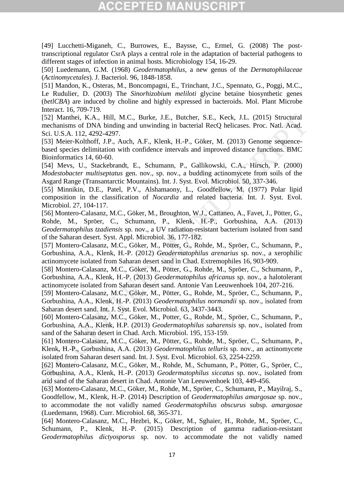## GEPTED

[49] Lucchetti-Miganeh, C., Burrowes, E., Baysse, C., Ermel, G. (2008) The posttranscriptional regulator CsrA plays a central role in the adaptation of bacterial pathogens to different stages of infection in animal hosts. Microbiology 154, 16-29.

[50] Luedemann, G.M. (1968) *Geodermatophilus*, a new genus of the *Dermatophilaceae* (*Actinomycetales*). J. Bacteriol. 96, 1848-1858.

[51] Mandon, K., Osteras, M., Boncompagni, E., Trinchant, J.C., Spennato, G., Poggi, M.C., Le Rudulier, D. (2003) The *Sinorhizobium meliloti* glycine betaine biosynthetic genes (*betlCBA*) are induced by choline and highly expressed in bacteroids. Mol. Plant Microbe Interact. 16, 709-719.

[52] Manthei, K.A., Hill, M.C., Burke, J.E., Butcher, S.E., Keck, J.L. (2015) Structural mechanisms of DNA binding and unwinding in bacterial RecQ helicases. Proc. Natl. Acad. Sci. U.S.A. 112, 4292-4297.

[53] Meier-Kolthoff, J.P., Auch, A.F., Klenk, H.-P., Göker, M. (2013) Genome sequencebased species delimitation with confidence intervals and improved distance functions. BMC Bioinformatics 14, 60-60.

[54] Mevs, U., Stackebrandt, E., Schumann, P., Gallikowski, C.A., Hirsch, P. (2000) *Modestobacter multiseptatus* gen. nov., sp. nov., a budding actinomycete from soils of the Asgard Range (Transantarctic Mountains). Int. J. Syst. Evol. Microbiol. 50, 337-346.

[55] Minnikin, D.E., Patel, P.V., Alshamaony, L., Goodfellow, M. (1977) Polar lipid composition in the classification of *Nocardia* and related bacteria. Int. J. Syst. Evol. Microbiol. 27, 104-117.

[56] Montero-Calasanz, M.C., Göker, M., Broughton, W.J., Cattaneo, A., Favet, J., Pötter, G., Rohde, M., Spröer, C., Schumann, P., Klenk, H.-P., Gorbushina, A.A. (2013) *Geodermatophilus tzadiensis* sp. nov., a UV radiation-resistant bacterium isolated from sand of the Saharan desert. Syst. Appl. Microbiol. 36, 177-182. [52] Manthai K.A., Hill, M.C., Bucke, J.E., Bucke, B.E., Reck, J.L. (2015) Structural<br>
Scribts, Hill, M.C., Bucker, M.C., Bucker, S.E., Reck, J.C. (2015) Structural<br>
Scribts, N.A., Hirsch, A.F., Klenk, H.P., Göker, M. (20

[57] Montero-Calasanz, M.C., Göker, M., Pötter, G., Rohde, M., Spröer, C., Schumann, P., Gorbushina, A.A., Klenk, H.-P. (2012) *Geodermatophilus arenarius* sp. nov., a xerophilic actinomycete isolated from Saharan desert sand in Chad. Extremophiles 16, 903-909.

[58] Montero-Calasanz, M.C., Göker, M., Pötter, G., Rohde, M., Spröer, C., Schumann, P., Gorbushina, A.A., Klenk, H.-P. (2013) *Geodermatophilus africanus* sp. nov., a halotolerant actinomycete isolated from Saharan desert sand. Antonie Van Leeuwenhoek 104, 207-216.

[59] Montero-Calasanz, M.C., Göker, M., Pötter, G., Rohde, M., Spröer, C., Schumann, P., Gorbushina, A.A., Klenk, H.-P. (2013) *Geodermatophilus normandii* sp. nov., isolated from Saharan desert sand. Int. J. Syst. Evol. Microbiol. 63, 3437-3443.

[60] Montero-Calasanz, M.C., Göker, M., Potter, G., Rohde, M., Spröer, C., Schumann, P., Gorbushina, A.A., Klenk, H.P. (2013) *Geodermatophilus saharensis* sp. nov., isolated from sand of the Saharan desert in Chad. Arch. Microbiol. 195, 153-159.

[61] Montero-Calasanz, M.C., Göker, M., Pötter, G., Rohde, M., Spröer, C., Schumann, P., Klenk, H.-P., Gorbushina, A.A. (2013) *Geodermatophilus telluris* sp. nov., an actinomycete isolated from Saharan desert sand. Int. J. Syst. Evol. Microbiol. 63, 2254-2259.

[62] Montero-Calasanz, M.C., Göker, M., Rohde, M., Schumann, P., Pötter, G., Spröer, C., Gorbushina, A.A., Klenk, H.-P. (2013) *Geodermatophilus siccatus* sp. nov., isolated from arid sand of the Saharan desert in Chad. Antonie Van Leeuwenhoek 103, 449-456.

[63] Montero-Calasanz, M.C., Göker, M., Rohde, M., Spröer, C., Schumann, P., Mayilraj, S., Goodfellow, M., Klenk, H.-P. (2014) Description of *Geodermatophilus amargosae* sp. nov., to accommodate the not validly named *Geodermatophilus obscurus* subsp. *amargosae* (Luedemann, 1968). Curr. Microbiol. 68, 365-371.

[64] Montero-Calasanz, M.C., Hezbri, K., Göker, M., Sghaier, H., Rohde, M., Spröer, C., Schumann, P., Klenk, H.-P. (2015) Description of gamma radiation-resistant *Geodermatophilus dictyosporus* sp. nov. to accommodate the not validly named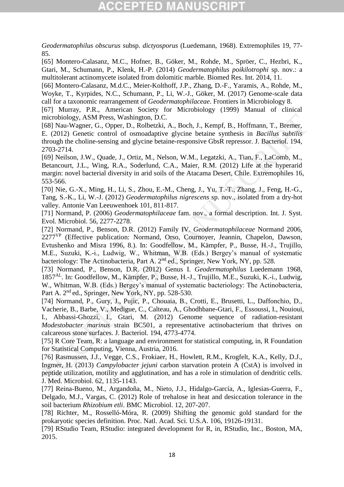## CEPTED

*Geodermatophilus obscurus* subsp. *dictyosporus* (Luedemann, 1968). Extremophiles 19, 77- 85.

[65] Montero-Calasanz, M.C., Hofner, B., Göker, M., Rohde, M., Spröer, C., Hezbri, K., Gtari, M., Schumann, P., Klenk, H.-P. (2014) *Geodermatophilus poikilotrophi* sp. nov.: a multitolerant actinomycete isolated from dolomitic marble. Biomed Res. Int. 2014, 11.

[66] Montero-Calasanz, M.d.C., Meier-Kolthoff, J.P., Zhang, D.-F., Yaramis, A., Rohde, M., Woyke, T., Kyrpides, N.C., Schumann, P., Li, W.-J., Göker, M. (2017) Genome-scale data call for a taxonomic rearrangement of *Geodermatophilaceae*. Frontiers in Microbiology 8.

[67] Murray, P.R., American Society for Microbiology (1999) Manual of clinical microbiology, ASM Press, Washington, D.C.

[68] Nau-Wagner, G., Opper, D., Rolbetzki, A., Boch, J., Kempf, B., Hoffmann, T., Bremer, E. (2012) Genetic control of osmoadaptive glycine betaine synthesis in *Bacillus subtilis* through the choline-sensing and glycine betaine-responsive GbsR repressor. J. Bacteriol. 194, 2703-2714.

[69] Neilson, J.W., Quade, J., Ortiz, M., Nelson, W.M., Legatzki, A., Tian, F., LaComb, M., Betancourt, J.L., Wing, R.A., Soderlund, C.A., Maier, R.M. (2012) Life at the hyperarid margin: novel bacterial diversity in arid soils of the Atacama Desert, Chile. Extremophiles 16, 553-566.

[70] Nie, G.-X., Ming, H., Li, S., Zhou, E.-M., Cheng, J., Yu, T.-T., Zhang, J., Feng, H.-G., Tang, S.-K., Li, W.-J. (2012) *Geodermatophilus nigrescens* sp. nov., isolated from a dry-hot valley. Antonie Van Leeuwenhoek 101, 811-817.

[71] Normand, P. (2006) *Geodermatophilaceae* fam. nov., a formal description. Int. J. Syst. Evol. Microbiol. 56, 2277-2278.

[72] Normand, P., Benson, D.R. (2012) Family IV. *Geodermatophilaceae* Normand 2006, 2277VP (Effective publication: Normand, Orso, Cournoyer, Jeannin, Chapelon, Dawson, Evtushenko and Misra 1996, 8.). In: Goodfellow, M., Kämpfer, P., Busse, H.-J., Trujillo, M.E., Suzuki, K.-i., Ludwig, W., Whitman, W.B. (Eds.) Bergey's manual of systematic bacteriology: The Actinobacteria, Part A. 2<sup>nd</sup> ed., Springer, New York, NY, pp. 528. microbiology, ASM Press, Washington, D.C.<br>
16705) Nau-Wagner, G., Opper, D., Rolbetzki, A., Boch, J., Kennyf, B., Hoffmann, T., Bremer, E. (2012) Genetic control of connoadaptive glycine betaine synthesis in *Bacillus sub* 

[73] Normand, P., Benson, D.R. (2012) Genus I. *Geodermatophilus* Luedemann 1968, 1857AL. In: Goodfellow, M., Kämpfer, P., Busse, H.-J., Trujillo, M.E., Suzuki, K.-i., Ludwig, W., Whitman, W.B. (Eds.) Bergey's manual of systematic bacteriology: The Actinobacteria, Part A. 2<sup>nd</sup> ed., Springer, New York, NY, pp. 528-530.

[74] Normand, P., Gury, J., Pujic, P., Chouaia, B., Crotti, E., Brusetti, L., Daffonchio, D., Vacherie, B., Barbe, V., Medigue, C., Calteau, A., Ghodhbane-Gtari, F., Essoussi, I., Nouioui, I., Abbassi-Ghozzi, I., Gtari, M. (2012) Genome sequence of radiation-resistant *Modestobacter marinus* strain BC501, a representative actinobacterium that thrives on calcareous stone surfaces. J. Bacteriol. 194, 4773-4774.

[75] R Core Team, R: a language and environment for statistical computing, in, R Foundation for Statistical Computing, Vienna, Austria, 2016.

[76] Rasmussen, J.J., Vegge, C.S., Frokiaer, H., Howlett, R.M., Krogfelt, K.A., Kelly, D.J., Ingmer, H. (2013) *Campylobacter jejuni* carbon starvation protein A (CstA) is involved in peptide utilization, motility and agglutination, and has a role in stimulation of dendritic cells. J. Med. Microbiol. 62, 1135-1143.

[77] Reina-Bueno, M., Argandoña, M., Nieto, J.J., Hidalgo-García, A., Iglesias-Guerra, F., Delgado, M.J., Vargas, C. (2012) Role of trehalose in heat and desiccation tolerance in the soil bacterium *Rhizobium etli*. BMC Microbiol. 12, 207-207.

[78] Richter, M., Rosselló-Móra, R. (2009) Shifting the genomic gold standard for the prokaryotic species definition. Proc. Natl. Acad. Sci. U.S.A. 106, 19126-19131.

[79] RStudio Team, RStudio: integrated development for R, in, RStudio, Inc., Boston, MA, 2015.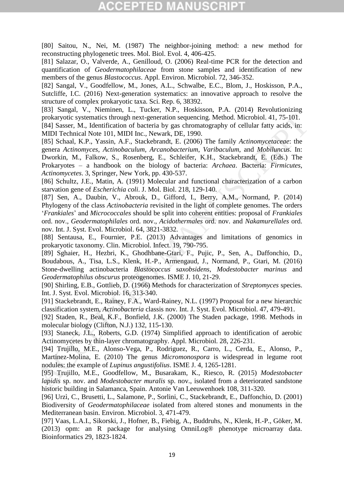## CEPTED M:

[80] Saitou, N., Nei, M. (1987) The neighbor-joining method: a new method for reconstructing phylogenetic trees. Mol. Biol. Evol. 4, 406-425.

[81] Salazar, O., Valverde, A., Genilloud, O. (2006) Real-time PCR for the detection and quantification of *Geodermatophilaceae* from stone samples and identification of new members of the genus *Blastococcus*. Appl. Environ. Microbiol. 72, 346-352.

[82] Sangal, V., Goodfellow, M., Jones, A.L., Schwalbe, E.C., Blom, J., Hoskisson, P.A., Sutcliffe, I.C. (2016) Next-generation systematics: an innovative approach to resolve the structure of complex prokaryotic taxa. Sci. Rep. 6, 38392.

[83] Sangal, V., Nieminen, L., Tucker, N.P., Hoskisson, P.A. (2014) Revolutionizing prokaryotic systematics through next-generation sequencing. Method. Microbiol. 41, 75-101.

[84] Sasser, M., Identification of bacteria by gas chromatography of cellular fatty acids, in: MIDI Technical Note 101, MIDI Inc., Newark, DE, 1990.

[85] Schaal, K.P., Yassin, A.F., Stackebrandt, E. (2006) The family *Actinomycetaceae*: the genera *Actinomyces*, *Actinobaculum*, *Arcanobacterium*, *Varibaculum*, and *Mobiluncus*. In: Dworkin, M., Falkow, S., Rosenberg, E., Schleifer, K.H., Stackebrandt, E. (Eds.) The Prokaryotes – a handbook on the biology of bacteria: *Archaea*. Bacteria: *Firmicutes*, *Actinomycetes*. 3, Springer, New York, pp. 430-537. pokaryotic systematics through next-generation sequencing. Method, Microbiol. 41, 75-101.<br>
[84] Susser, M., Identification of bateria by gas chromatography of cellular fatty acids. in:<br>
MIDI Technical Note 101, MIDI Inc.,

[86] Schultz, J.E., Matin, A. (1991) Molecular and functional characterization of a carbon starvation gene of *Escherichia coli*. J. Mol. Biol. 218, 129-140.

[87] Sen, A., Daubin, V., Abrouk, D., Gifford, I., Berry, A.M., Normand, P. (2014) Phylogeny of the class *Actinobacteria* revisited in the light of complete genomes. The orders '*Frankiales*' and *Micrococcales* should be split into coherent entities: proposal of *Frankiales* ord. nov., *Geodermatophilales* ord. nov., *Acidothermales* ord. nov. and *Nakamurellales* ord. nov. Int. J. Syst. Evol. Microbiol. 64, 3821-3832.

[88] Sentausa, E., Fournier, P.E. (2013) Advantages and limitations of genomics in prokaryotic taxonomy. Clin. Microbiol. Infect. 19, 790-795.

[89] Sghaier, H., Hezbri, K., Ghodhbane-Gtari, F., Pujic, P., Sen, A., Daffonchio, D., Boudabous, A., Tisa, L.S., Klenk, H.-P., Armengaud, J., Normand, P., Gtari, M. (2016) Stone-dwelling actinobacteria *Blastococcus saxobsidens*, *Modestobacter marinus* and *Geodermatophilus obscurus* proteogenomes. ISME J. 10, 21-29.

[90] Shirling, E.B., Gottlieb, D. (1966) Methods for characterization of *Streptomyces* species. Int. J. Syst. Evol. Microbiol. 16, 313-340.

[91] Stackebrandt, E., Rainey, F.A., Ward-Rainey, N.L. (1997) Proposal for a new hierarchic classification system, *Actinobacteria* classis nov. Int. J. Syst. Evol. Microbiol. 47, 479-491.

[92] Staden, R., Beal, K.F., Bonfield, J.K. (2000) The Staden package, 1998. Methods in molecular biology (Clifton, N.J.) 132, 115-130.

[93] Staneck, J.L., Roberts, G.D. (1974) Simplified approach to identification of aerobic Actinomycetes by thin-layer chromatography. Appl. Microbiol. 28, 226-231.

[94] Trujillo, M.E., Alonso-Vega, P., Rodriguez, R., Carro, L., Cerda, E., Alonso, P., Martinez-Molina, E. (2010) The genus *Micromonospora* is widespread in legume root nodules: the example of *Lupinus angustifolius*. ISME J. 4, 1265-1281.

[95] Trujillo, M.E., Goodfellow, M., Busarakam, K., Riesco, R. (2015) *Modestobacter lapidis* sp. nov. and *Modestobacter muralis* sp. nov., isolated from a deteriorated sandstone historic building in Salamanca, Spain. Antonie Van Leeuwenhoek 108, 311-320.

[96] Urzì, C., Brusetti, L., Salamone, P., Sorlini, C., Stackebrandt, E., Daffonchio, D. (2001) Biodiversity of *Geodermatophilaceae* isolated from altered stones and monuments in the Mediterranean basin. Environ. Microbiol. 3, 471-479.

[97] Vaas, L.A.I., Sikorski, J., Hofner, B., Fiebig, A., Buddruhs, N., Klenk, H.-P., Göker, M. (2013) opm: an R package for analysing OmniLog® phenotype microarray data. Bioinformatics 29, 1823-1824.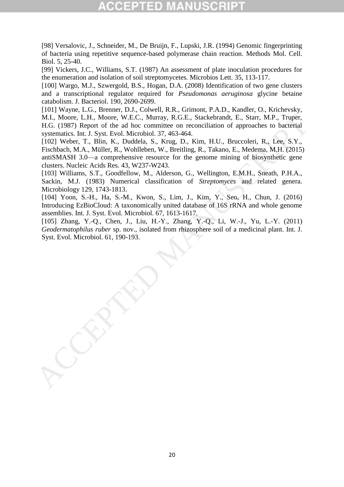[98] Versalovic, J., Schneider, M., De Bruijn, F., Lupski, J.R. (1994) Genomic fingerprinting of bacteria using repetitive sequence-based polymerase chain reaction. Methods Mol. Cell. Biol. 5, 25-40.

[99] Vickers, J.C., Williams, S.T. (1987) An assessment of plate inoculation procedures for the enumeration and isolation of soil streptomycetes. Microbios Lett. 35, 113-117.

[100] Wargo, M.J., Szwergold, B.S., Hogan, D.A. (2008) Identification of two gene clusters and a transcriptional regulator required for *Pseudomonas aeruginosa* glycine betaine catabolism. J. Bacteriol. 190, 2690-2699.

[101] Wayne, L.G., Brenner, D.J., Colwell, R.R., Grimont, P.A.D., Kandler, O., Krichevsky, M.I., Moore, L.H., Moore, W.E.C., Murray, R.G.E., Stackebrandt, E., Starr, M.P., Truper, H.G. (1987) Report of the ad hoc committee on reconciliation of approaches to bacterial systematics. Int. J. Syst. Evol. Microbiol. 37, 463-464.

[102] Weber, T., Blin, K., Duddela, S., Krug, D., Kim, H.U., Bruccoleri, R., Lee, S.Y., Fischbach, M.A., Müller, R., Wohlleben, W., Breitling, R., Takano, E., Medema, M.H. (2015) antiSMASH 3.0—a comprehensive resource for the genome mining of biosynthetic gene clusters. Nucleic Acids Res. 43, W237-W243. M.I., Moore, L.H., Moore, W.E.C., Murray, R.G.E., Stackebrandt, E., Starr, M.P., Tuper, T. M.P., Tuper, T. H.P., Tuper, 193. Accelerial systematics. Int. J. Syst. Evol. Microbiol. 37, 463-464.<br>
1163. (1987) Report of the a

[103] Williams, S.T., Goodfellow, M., Alderson, G., Wellington, E.M.H., Sneath, P.H.A., Sackin, M.J. (1983) Numerical classification of *Streptomyces* and related genera. Microbiology 129, 1743-1813.

[104] Yoon, S.-H., Ha, S.-M., Kwon, S., Lim, J., Kim, Y., Seo, H., Chun, J. (2016) Introducing EzBioCloud: A taxonomically united database of 16S rRNA and whole genome assemblies. Int. J. Syst. Evol. Microbiol. 67, 1613-1617.

[105] Zhang, Y.-Q., Chen, J., Liu, H.-Y., Zhang, Y.-Q., Li, W.-J., Yu, L.-Y. (2011) *Geodermatophilus ruber* sp. nov., isolated from rhizosphere soil of a medicinal plant. Int. J.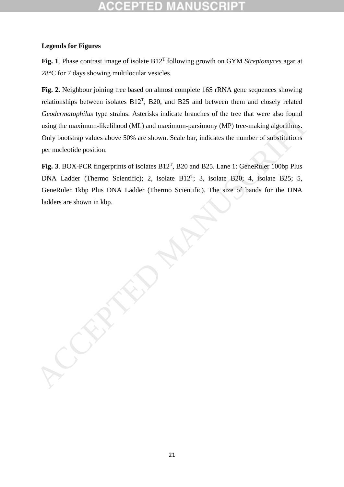### **Legends for Figures**

Fig. 1. Phase contrast image of isolate B12<sup>T</sup> following growth on GYM *Streptomyces* agar at 28°C for 7 days showing multilocular vesicles.

**Fig. 2.** Neighbour joining tree based on almost complete 16S rRNA gene sequences showing relationships between isolates  $B12^T$ , B20, and B25 and between them and closely related *Geodermatophilus* type strains. Asterisks indicate branches of the tree that were also found using the maximum-likelihood (ML) and maximum-parsimony (MP) tree-making algorithms. Only bootstrap values above 50% are shown. Scale bar, indicates the number of substitutions per nucleotide position.

Fig. 3. BOX-PCR fingerprints of isolates B12<sup>T</sup>, B20 and B25. Lane 1: GeneRuler 100bp Plus DNA Ladder (Thermo Scientific); 2, isolate B12<sup>T</sup>; 3, isolate B20; 4, isolate B25; 5, GeneRuler 1kbp Plus DNA Ladder (Thermo Scientific). The size of bands for the DNA ladders are shown in kbp. betonamatorymuss type suurs. Netters as matter outantes on the the dual were used using the maximum-hielihood (ML) and maximum-parsimony (MP) tree-making algorithms.<br>Only bootstrap values above 50% are shown. Scale bar, in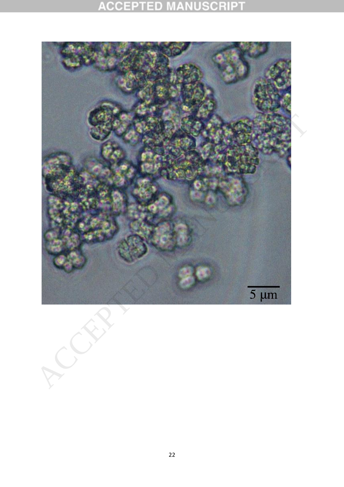## **ACCEPTED MANUSCRIPT**

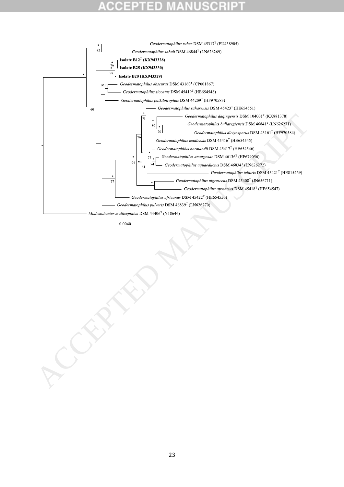## D

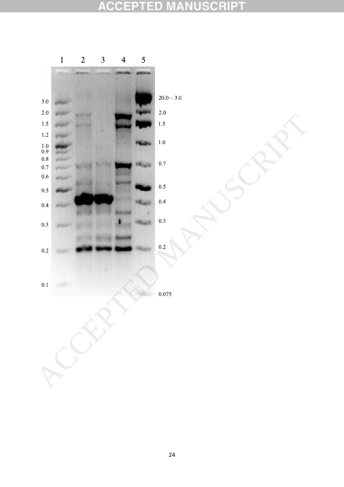## **ACCEPTED MANUSCRIPT**

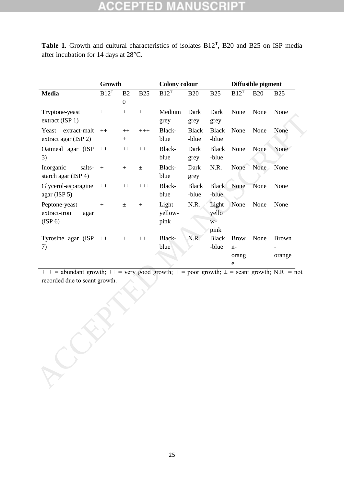| Media                                            | Growth           |                             |                   | <b>Colony colour</b>     |                       |                                 | Diffusible pigment                        |            |                        |
|--------------------------------------------------|------------------|-----------------------------|-------------------|--------------------------|-----------------------|---------------------------------|-------------------------------------------|------------|------------------------|
|                                                  | $B12^T$          | B2<br>$\boldsymbol{0}$      | <b>B25</b>        | $\overline{B12^T}$       | <b>B20</b>            | <b>B25</b>                      | $B12^T$                                   | <b>B20</b> | <b>B25</b>             |
| Tryptone-yeast<br>extract (ISP 1)                | $\boldsymbol{+}$ |                             | $\boldsymbol{+}$  | Medium<br>grey           | Dark<br>grey          | Dark<br>grey                    | None                                      | None       | None                   |
| Yeast<br>extract-malt<br>extract agar (ISP 2)    | $^{++}$          | $\boldsymbol{++}$<br>$^{+}$ | $+++$             | Black-<br>blue           | <b>Black</b><br>-blue | <b>Black</b><br>-blue           | None                                      | None       | None                   |
| Oatmeal agar (ISP<br>3)                          | $++$             | $++$                        | $\boldsymbol{++}$ | Black-<br>blue           | Dark<br>grey          | <b>Black</b><br>-blue           | None                                      | None       | None                   |
| Inorganic<br>salts-<br>starch agar (ISP 4)       | $\boldsymbol{+}$ | $\boldsymbol{+}$            | $\pm$             | Black-<br>blue           | Dark<br>grey          | N.R.                            | None                                      | None       | None                   |
| Glycerol-asparagine<br>agar (ISP 5)              | $\!$             | $^{\rm ++}$                 | $\!$              | Black-<br>blue           | <b>Black</b><br>-blue | <b>Black</b><br>-blue           | None                                      | None       | None                   |
| Peptone-yeast<br>extract-iron<br>agar<br>(ISP 6) | $\boldsymbol{+}$ | $\pm$                       | $\boldsymbol{+}$  | Light<br>yellow-<br>pink | N.R.                  | Light<br>yello<br>$W -$<br>pink | None                                      | None       | None                   |
| Tyrosine agar $(ISP$ ++<br>7)                    |                  | $\pm$                       | $^{++}$           | Black-<br>blue           | N.R.                  | <b>Black</b><br>-blue           | <b>Brow</b><br>$n-$<br>orang<br>${\bf e}$ | None       | <b>Brown</b><br>orange |

Table 1. Growth and cultural characteristics of isolates B12<sup>T</sup>, B20 and B25 on ISP media after incubation for 14 days at 28°C.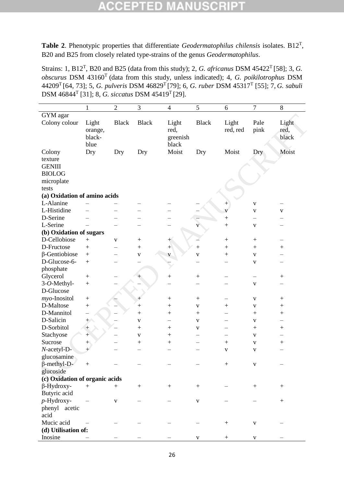## ۵D

**Table 2**. Phenotypic properties that differentiate *Geodermatophilus chilensis* isolates. B12<sup>T</sup> , B20 and B25 from closely related type-strains of the genus *Geodermatophilus*.

Strains: 1, B12<sup>T</sup>, B20 and B25 (data from this study); 2, *G. africanus* DSM 45422<sup>T</sup> [58]; 3, *G. obscurus* DSM 43160<sup>T</sup> (data from this study, unless indicated); 4, *G. poikilotrophus* DSM 44209<sup>T</sup>[64, 73]; 5, *G. pulveris* DSM 46829<sup>T</sup>[79]; 6, *G. ruber* DSM 45317<sup>T</sup> [55]; 7, *G. sabuli* DSM 46844<sup>T</sup> [31]; 8, *G. siccatus* DSM 45419<sup>T</sup> [29].

|                                | $\mathbf{1}$             | $\mathbf{2}$ | 3            | $\overline{\mathcal{A}}$ | 5                       | 6                                | $\boldsymbol{7}$   | $8\,$                    |
|--------------------------------|--------------------------|--------------|--------------|--------------------------|-------------------------|----------------------------------|--------------------|--------------------------|
| GYM agar                       |                          |              |              |                          |                         |                                  |                    |                          |
| Colony colour                  | Light                    | <b>Black</b> | <b>Black</b> | Light                    | <b>Black</b>            | Light                            | Pale               | Light                    |
|                                | orange,                  |              |              | red,                     |                         | red, red                         | pink               | red,                     |
|                                | black-                   |              |              | greenish                 |                         |                                  |                    | black                    |
|                                | blue                     |              |              | black                    |                         |                                  |                    |                          |
| Colony                         | Dry                      | Dry          | Dry          | Moist                    | Dry                     | Moist                            | Dry                | Moist                    |
| texture                        |                          |              |              |                          |                         |                                  |                    |                          |
| <b>GENIII</b>                  |                          |              |              |                          |                         |                                  |                    |                          |
| <b>BIOLOG</b>                  |                          |              |              |                          |                         |                                  |                    |                          |
| microplate                     |                          |              |              |                          |                         |                                  |                    |                          |
| tests                          |                          |              |              |                          |                         |                                  |                    |                          |
| (a) Oxidation of amino acids   |                          |              |              |                          |                         |                                  |                    |                          |
| L-Alanine                      |                          |              |              |                          |                         | $\hspace{0.1mm} +\hspace{0.1mm}$ | V                  |                          |
| L-Histidine                    |                          |              |              |                          |                         | v                                | $\mathbf{V}$       | V                        |
| D-Serine                       |                          |              |              |                          |                         | $^{+}$                           |                    |                          |
| L-Serine                       |                          |              |              |                          | $\overline{\mathbf{V}}$ | $\ddot{}$                        | V                  |                          |
| (b) Oxidation of sugars        |                          |              |              |                          |                         |                                  |                    |                          |
| D-Cellobiose                   | $\ddot{+}$               | $\mathbf V$  |              | $^+$                     |                         |                                  | $+$                |                          |
| D-Fructose                     | $+$                      |              | $^{+}$       | $\boldsymbol{+}$         | $^{+}$                  |                                  | $\hspace{0.1mm} +$ | $+$                      |
| $\beta$ -Gentiobiose           | $\boldsymbol{+}$         |              | $\mathbf V$  | ${\bf V}$                | $\mathbf{V}$            | $\boldsymbol{+}$                 | V                  |                          |
| D-Glucose-6-                   | $\boldsymbol{+}$         |              |              |                          |                         |                                  | V                  |                          |
| phosphate                      |                          |              |              |                          |                         |                                  |                    |                          |
| Glycerol                       | $\boldsymbol{+}$         |              | $^{+}$       | $\overline{+}$           | $\! + \!$               |                                  |                    | $\boldsymbol{+}$         |
| 3-O-Methyl-                    | $\qquad \qquad +$        |              |              |                          |                         |                                  | V                  |                          |
| D-Glucose                      |                          |              |              |                          |                         |                                  |                    |                          |
| $myo$ -Inositol                | $\boldsymbol{+}$         |              |              | $^{+}$                   | $\! +$                  |                                  | V                  | $+$                      |
| D-Maltose                      | $\! + \!$                |              | $^{+}$       | $\overline{+}$           | V                       | $+$                              | V                  | $+$                      |
| D-Mannitol                     | $\overline{\phantom{0}}$ |              | $\ddot{}$    | $^{+}$                   | $\hspace{0.1mm} +$      |                                  | $\hspace{0.1mm} +$ | $+$                      |
| D-Salicin                      | $\pm$                    |              | $\mathbf V$  | $\overline{\phantom{0}}$ | V                       |                                  | V                  | $\overline{\phantom{0}}$ |
| D-Sorbitol                     | $^{+}$                   |              | $^{+}$       | $\hspace{0.1mm} +$       | V                       |                                  | $\hspace{0.1mm} +$ | $^{+}$                   |
| Stachyose                      | $\ddot{}$                |              | $\mathbf V$  | $\hspace{0.1mm} +$       | $\qquad \qquad -$       | —                                | V                  | $\qquad \qquad -$        |
| Sucrose                        | $^{+}$                   |              | $^{+}$       |                          |                         | $\boldsymbol{+}$                 | V                  | $+$                      |
| $N$ -acetyl-D-                 | $^{+}$                   |              |              |                          |                         | V                                | V                  |                          |
| glucosamine                    |                          |              |              |                          |                         |                                  |                    |                          |
| $\beta$ -methyl-D-             | $\ddot{+}$               |              |              |                          |                         | $^{+}$                           | $\mathbf V$        |                          |
| glucoside                      |                          |              |              |                          |                         |                                  |                    |                          |
| (c) Oxidation of organic acids |                          |              |              |                          |                         |                                  |                    |                          |
| $\beta$ -Hydroxy-              | $\boldsymbol{+}$         | $+$          |              | $\! +$                   | $\boldsymbol{+}$        |                                  | $+$                | $\boldsymbol{+}$         |
| Butyric acid                   |                          |              |              |                          |                         |                                  |                    |                          |
| $p$ -Hydroxy-                  |                          | $\mathbf{V}$ |              |                          | $\mathbf V$             |                                  |                    | $\boldsymbol{+}$         |
| phenyl acetic                  |                          |              |              |                          |                         |                                  |                    |                          |
| acid                           |                          |              |              |                          |                         |                                  |                    |                          |
| Mucic acid                     |                          |              |              |                          |                         | $\boldsymbol{+}$                 | $\mathbf V$        |                          |
| (d) Utilisation of:            |                          |              |              |                          |                         |                                  |                    |                          |
| Inosine                        |                          |              |              |                          | $\mathbf V$             |                                  | $\mathbf{V}$       |                          |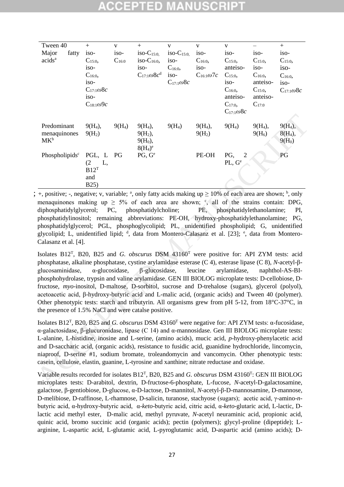| Tween 40                                                                                                                                                                                                                                                                                                                                                                                                                                                                                                                                                                                                                                                                                                                                                                                                                                                                                                                                                               | $+$                         | $\mathbf{V}$           | $+$                                                     | $\mathbf{V}$                                      | $\mathbf V$                               | $\mathbf V$                       | $\overline{\phantom{0}}$ | $+$                    |
|------------------------------------------------------------------------------------------------------------------------------------------------------------------------------------------------------------------------------------------------------------------------------------------------------------------------------------------------------------------------------------------------------------------------------------------------------------------------------------------------------------------------------------------------------------------------------------------------------------------------------------------------------------------------------------------------------------------------------------------------------------------------------------------------------------------------------------------------------------------------------------------------------------------------------------------------------------------------|-----------------------------|------------------------|---------------------------------------------------------|---------------------------------------------------|-------------------------------------------|-----------------------------------|--------------------------|------------------------|
| Major<br>fatty<br>acids <sup>a</sup>                                                                                                                                                                                                                                                                                                                                                                                                                                                                                                                                                                                                                                                                                                                                                                                                                                                                                                                                   | iso-                        | iso-                   | $iso-C_{15:0}$                                          | $iso-C_{15:0}$                                    | iso-                                      | iso-                              | iso-                     | iso-                   |
|                                                                                                                                                                                                                                                                                                                                                                                                                                                                                                                                                                                                                                                                                                                                                                                                                                                                                                                                                                        | $C_{15:0}$<br>iso-          | $C_{16:0}$             | iso- $C_{16:0}$ ,<br>iso-<br>$C_{17:1}\omega$ 8 $c^{d}$ | iso-<br>$C_{16:0}$<br>iso-<br>$C_{17:1}\omega$ 8c | $C_{16:0}$<br>iso-<br>$C_{16:1}\omega$ 7c | $C_{15:0}$<br>anteiso-            | $C_{15:0}$<br>iso-       | $C_{15:0}$<br>iso-     |
|                                                                                                                                                                                                                                                                                                                                                                                                                                                                                                                                                                                                                                                                                                                                                                                                                                                                                                                                                                        | $C_{16:0}$                  |                        |                                                         |                                                   |                                           | $C_{15:0}$                        | $C_{16:0}$               | $C_{16:0}$             |
|                                                                                                                                                                                                                                                                                                                                                                                                                                                                                                                                                                                                                                                                                                                                                                                                                                                                                                                                                                        | iso-                        |                        |                                                         |                                                   |                                           | iso-                              | anteiso-                 | iso-                   |
|                                                                                                                                                                                                                                                                                                                                                                                                                                                                                                                                                                                                                                                                                                                                                                                                                                                                                                                                                                        | $C_{17:1}\omega$ 8c         |                        |                                                         |                                                   |                                           | $C_{16:0}$                        | $C_{15:0}$               | $C_{17:1}\omega$ 8c    |
|                                                                                                                                                                                                                                                                                                                                                                                                                                                                                                                                                                                                                                                                                                                                                                                                                                                                                                                                                                        | iso-<br>$C_{18:1}\omega$ 9c |                        |                                                         |                                                   |                                           | anteiso-                          | anteiso-                 |                        |
|                                                                                                                                                                                                                                                                                                                                                                                                                                                                                                                                                                                                                                                                                                                                                                                                                                                                                                                                                                        |                             |                        |                                                         |                                                   |                                           | $C_{17:0}$<br>$C_{17:1}\omega$ 8c | $C_{17:0}$               |                        |
|                                                                                                                                                                                                                                                                                                                                                                                                                                                                                                                                                                                                                                                                                                                                                                                                                                                                                                                                                                        |                             |                        |                                                         |                                                   |                                           |                                   |                          |                        |
| Predominant<br>menaquinones                                                                                                                                                                                                                                                                                                                                                                                                                                                                                                                                                                                                                                                                                                                                                                                                                                                                                                                                            | $9(H_4),$<br>$9(H_2)$       | $9(H_4)$               | $9(H_4),$<br>$9(H_2),$                                  | $9(H_4)$                                          | $9(H_4),$<br>$9(H_2)$                     | $9(H_4)$                          | $9(H_4),$<br>$9(H_6)$    | $9(H_4),$<br>$8(H_4),$ |
| MK <sup>b</sup>                                                                                                                                                                                                                                                                                                                                                                                                                                                                                                                                                                                                                                                                                                                                                                                                                                                                                                                                                        |                             |                        | $9(H_0),$<br>$8(H_4)^e$                                 |                                                   |                                           |                                   |                          | $9(H_0)$               |
|                                                                                                                                                                                                                                                                                                                                                                                                                                                                                                                                                                                                                                                                                                                                                                                                                                                                                                                                                                        |                             |                        |                                                         |                                                   |                                           |                                   |                          |                        |
| Phospholipids <sup>c</sup>                                                                                                                                                                                                                                                                                                                                                                                                                                                                                                                                                                                                                                                                                                                                                                                                                                                                                                                                             | PGL, L                      | PG                     | PG, Ge                                                  |                                                   | PE-OH                                     | PG,<br>$\overline{2}$             |                          | PG                     |
|                                                                                                                                                                                                                                                                                                                                                                                                                                                                                                                                                                                                                                                                                                                                                                                                                                                                                                                                                                        | (2)<br>L,                   |                        |                                                         |                                                   |                                           | PL, Ge                            |                          |                        |
|                                                                                                                                                                                                                                                                                                                                                                                                                                                                                                                                                                                                                                                                                                                                                                                                                                                                                                                                                                        | $B12^T$                     |                        |                                                         |                                                   |                                           |                                   |                          |                        |
|                                                                                                                                                                                                                                                                                                                                                                                                                                                                                                                                                                                                                                                                                                                                                                                                                                                                                                                                                                        | and<br><b>B25</b> )         |                        |                                                         |                                                   |                                           |                                   |                          |                        |
| +, positive; -, negative; v, variable; <sup>a</sup> , only fatty acids making up $\geq$ 10% of each area are shown; <sup>b</sup> , only                                                                                                                                                                                                                                                                                                                                                                                                                                                                                                                                                                                                                                                                                                                                                                                                                                |                             |                        |                                                         |                                                   |                                           |                                   |                          |                        |
| phosphatidylglycerol; PGL, phosphoglycolipid; PL, unidentified phospholipid; G, unidentified<br>glycolipid; L, unidentified lipid; <sup>d</sup> , data from Montero-Calasanz et al. [23]; <sup>e</sup> , data from Montero-<br>Calasanz et al. [4].<br>Isolates B12 <sup>T</sup> , B20, B25 and G. obscurus DSM 43160 <sup>T</sup> were positive for: API ZYM tests: acid<br>phosphatase, alkaline phosphatase, cystine arylamidase esterase $(C 4)$ , esterase lipase $(C 8)$ , N-acetyl- $\beta$ -<br>glucosaminidase,<br>phosphohydrolase, trypsin and valine arylamidase. GEN III BIOLOG microplate tests: D-cellobiose, D-<br>fructose, myo-inositol, D-maltose, D-sorbitol, sucrose and D-trehalose (sugars), glycerol (polyol),<br>acetoacetic acid, β-hydroxy-butyric acid and L-malic acid, (organic acids) and Tween 40 (polymer).<br>Other phenotypic tests: starch and tributyrin. All organisms grew from pH $5-12$ , from $18^{\circ}C-37^{\circ}C$ , in |                             | $\alpha$ -glucosidase, | $\beta$ -glucosidase,                                   |                                                   | leucine                                   | arylamidase,                      |                          | naphthol-AS-BI-        |
| the presence of 1.5% NaCl and were catalse positive.                                                                                                                                                                                                                                                                                                                                                                                                                                                                                                                                                                                                                                                                                                                                                                                                                                                                                                                   |                             |                        |                                                         |                                                   |                                           |                                   |                          |                        |
| Isolates B12 <sup>T</sup> , B20, B25 and <i>G. obscurus</i> DSM 43160 <sup>T</sup> were negative for: API ZYM tests: α-fucosidase,<br>$\alpha$ -galactosidase, $\beta$ -glucuronidase, lipase (C 14) and $\alpha$ -mannosidase. Gen III BIOLOG microplate tests:<br>L-alanine, L-histidine, inosine and L-serine, (amino acids), mucic acid, p-hydroxy-phenylacetic acid<br>and D-saccharic acid, (organic acids), resistance to fusidic acid, guanidine hydrochloride, lincomycin,<br>niaproof, D-serine #1, sodium bromate, troleandomycin and vancomycin. Other phenotypic tests:<br>casein, cellulose, elastin, guanine, L-tyrosine and xanthine; nitrate reductase and oxidase.                                                                                                                                                                                                                                                                                   |                             |                        |                                                         |                                                   |                                           |                                   |                          |                        |
| Variable results recorded for isolates B12 <sup>T</sup> , B20, B25 and <i>G. obscurus</i> DSM 43160 <sup>T</sup> : GEN III BIOLOG<br>microplates tests: D-arabitol, dextrin, D-fructose-6-phosphate, L-fucose, N-acetyl-D-galactosamine,                                                                                                                                                                                                                                                                                                                                                                                                                                                                                                                                                                                                                                                                                                                               |                             |                        |                                                         |                                                   |                                           |                                   |                          |                        |

Variable results recorded for isolates B12<sup>T</sup>, B20, B25 and *G. obscurus* DSM 43160<sup>T</sup>: GEN III BIOLOG microplates tests: D-arabitol, dextrin, D-fructose-6-phosphate, L-fucose, *N*-acetyl-D-galactosamine, galactose, β-gentiobiose, D-glucose, α-D-lactose, D-mannitol, *N*-acetyl-β-D-mannosamine, D-mannose, D-melibiose, D-raffinose, L-rhamnose, D-salicin, turanose, stachyose (sugars); acetic acid, γ-amino-*n*butyric acid, α-hydroxy-butyric acid, α-*keto*-butyric acid, citric acid, α-*keto*-glutaric acid, L-lactic, Dlactic acid methyl ester, D-malic acid, methyl pyruvate, *N*-acetyl neuraminic acid, propionic acid, quinic acid, bromo succinic acid (organic acids); pectin (polymers); glycyl-proline (dipeptide); Larginine, L-aspartic acid, L-glutamic acid, L-pyroglutamic acid, D-aspartic acid (amino acids); D-